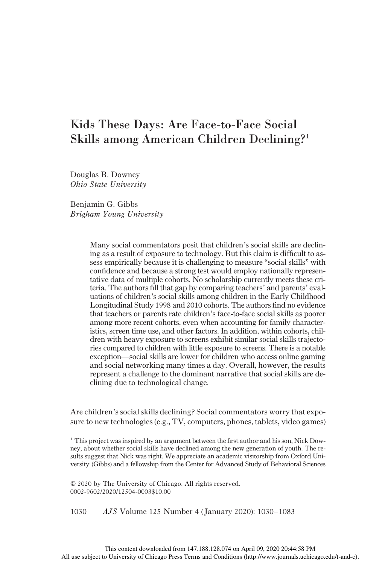# Kids These Days: Are Face-to-Face Social Skills among American Children Declining?<sup>1</sup>

Douglas B. Downey *Ohio State University*

Benjamin G. Gibbs *Brigham Young University*

> Many social commentators posit that children's social skills are declining as a result of exposure to technology. But this claim is difficult to assess empirically because it is challenging to measure "social skills" with confidence and because a strong test would employ nationally representative data of multiple cohorts. No scholarship currently meets these criteria. The authors fill that gap by comparing teachers' and parents' evaluations of children's social skills among children in the Early Childhood Longitudinal Study 1998 and 2010 cohorts. The authors find no evidence that teachers or parents rate children's face-to-face social skills as poorer among more recent cohorts, even when accounting for family characteristics, screen time use, and other factors. In addition, within cohorts, children with heavy exposure to screens exhibit similar social skills trajectories compared to children with little exposure to screens. There is a notable exception—social skills are lower for children who access online gaming and social networking many times a day. Overall, however, the results represent a challenge to the dominant narrative that social skills are declining due to technological change.

Are children's social skills declining? Social commentators worry that exposure to new technologies (e.g., TV, computers, phones, tablets, video games)

<sup>1</sup> This project was inspired by an argument between the first author and his son, Nick Downey, about whether social skills have declined among the new generation of youth. The results suggest that Nick was right. We appreciate an academic visitorship from Oxford University (Gibbs) and a fellowship from the Center for Advanced Study of Behavioral Sciences

© 2020 by The University of Chicago. All rights reserved. 0002-9602/2020/12504-0003\$10.00

1030 *AJS* Volume 125 Number 4 (January 2020): 1030–1083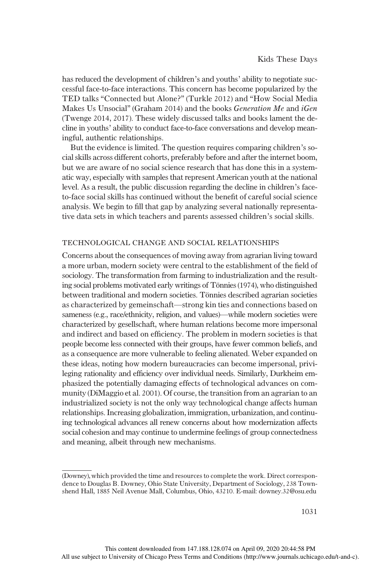has reduced the development of children's and youths' ability to negotiate successful face-to-face interactions. This concern has become popularized by the TED talks "Connected but Alone?" (Turkle 2012) and "How Social Media Makes Us Unsocial" (Graham 2014) and the books *Generation Me* and *iGen* (Twenge 2014, 2017). These widely discussed talks and books lament the decline in youths' ability to conduct face-to-face conversations and develop meaningful, authentic relationships.

But the evidence is limited. The question requires comparing children's social skills across different cohorts, preferably before and after the internet boom, but we are aware of no social science research that has done this in a systematic way, especially with samples that represent American youth at the national level. As a result, the public discussion regarding the decline in children's faceto-face social skills has continued without the benefit of careful social science analysis. We begin to fill that gap by analyzing several nationally representative data sets in which teachers and parents assessed children's social skills.

#### TECHNOLOGICAL CHANGE AND SOCIAL RELATIONSHIPS

Concerns about the consequences of moving away from agrarian living toward a more urban, modern society were central to the establishment of the field of sociology. The transformation from farming to industrialization and the resulting social problems motivated early writings of Tönnies (1974), who distinguished between traditional and modern societies. Tönnies described agrarian societies as characterized by gemeinschaft—strong kin ties and connections based on sameness (e.g., race/ethnicity, religion, and values)—while modern societies were characterized by gesellschaft, where human relations become more impersonal and indirect and based on efficiency. The problem in modern societies is that people become less connected with their groups, have fewer common beliefs, and as a consequence are more vulnerable to feeling alienated. Weber expanded on these ideas, noting how modern bureaucracies can become impersonal, privileging rationality and efficiency over individual needs. Similarly, Durkheim emphasized the potentially damaging effects of technological advances on community (DiMaggio et al. 2001). Of course, the transition from an agrarian to an industrialized society is not the only way technological change affects human relationships. Increasing globalization, immigration, urbanization, and continuing technological advances all renew concerns about how modernization affects social cohesion and may continue to undermine feelings of group connectedness and meaning, albeit through new mechanisms.

<sup>(</sup>Downey),which provided the time and resources to complete the work. Direct correspondence to Douglas B. Downey, Ohio State University, Department of Sociology, 238 Townshend Hall, 1885 Neil Avenue Mall, Columbus, Ohio, 43210. E-mail: downey.32@osu.edu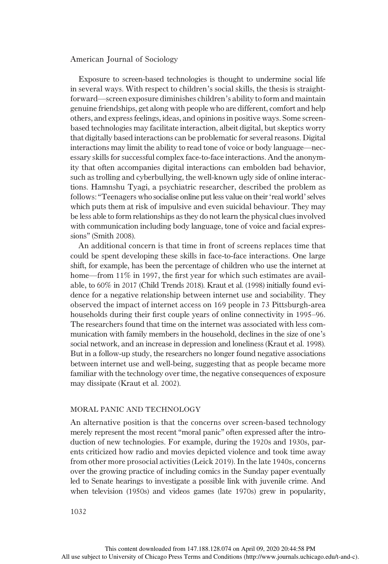Exposure to screen-based technologies is thought to undermine social life in several ways. With respect to children's social skills, the thesis is straightforward—screen exposure diminishes children's ability to form and maintain genuine friendships, get along with people who are different, comfort and help others, and express feelings, ideas, and opinions in positive ways. Some screenbased technologies may facilitate interaction, albeit digital, but skeptics worry that digitally based interactions can be problematic for several reasons. Digital interactions may limit the ability to read tone of voice or body language—necessary skills for successful complex face-to-face interactions. And the anonymity that often accompanies digital interactions can embolden bad behavior, such as trolling and cyberbullying, the well-known ugly side of online interactions. Hamnshu Tyagi, a psychiatric researcher, described the problem as follows: "Teenagers who socialise online put less value on their 'real world' selves which puts them at risk of impulsive and even suicidal behaviour. They may be less able to form relationships as they do not learn the physical clues involved with communication including body language, tone of voice and facial expressions" (Smith 2008).

An additional concern is that time in front of screens replaces time that could be spent developing these skills in face-to-face interactions. One large shift, for example, has been the percentage of children who use the internet at home—from 11% in 1997, the first year for which such estimates are available, to 60% in 2017 (Child Trends 2018). Kraut et al. (1998) initially found evidence for a negative relationship between internet use and sociability. They observed the impact of internet access on 169 people in 73 Pittsburgh-area households during their first couple years of online connectivity in 1995–96. The researchers found that time on the internet was associated with less communication with family members in the household, declines in the size of one's social network, and an increase in depression and loneliness (Kraut et al. 1998). But in a follow-up study, the researchers no longer found negative associations between internet use and well-being, suggesting that as people became more familiar with the technology over time, the negative consequences of exposure may dissipate (Kraut et al. 2002).

#### MORAL PANIC AND TECHNOLOGY

An alternative position is that the concerns over screen-based technology merely represent the most recent "moral panic" often expressed after the introduction of new technologies. For example, during the 1920s and 1930s, parents criticized how radio and movies depicted violence and took time away from other more prosocial activities (Leick 2019). In the late 1940s, concerns over the growing practice of including comics in the Sunday paper eventually led to Senate hearings to investigate a possible link with juvenile crime. And when television (1950s) and videos games (late 1970s) grew in popularity,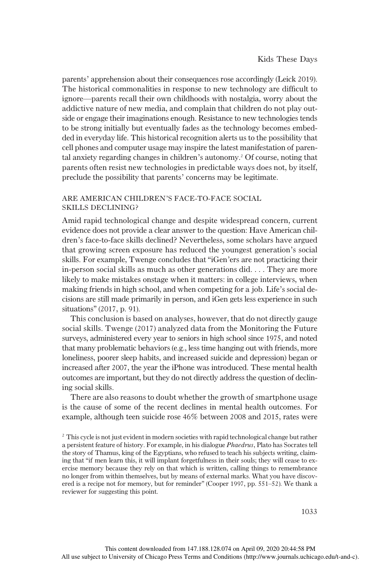parents' apprehension about their consequences rose accordingly (Leick 2019). The historical commonalities in response to new technology are difficult to ignore—parents recall their own childhoods with nostalgia, worry about the addictive nature of new media, and complain that children do not play outside or engage their imaginations enough. Resistance to new technologies tends to be strong initially but eventually fades as the technology becomes embedded in everyday life. This historical recognition alerts us to the possibility that cell phones and computer usage may inspire the latest manifestation of parental anxiety regarding changes in children's autonomy.<sup>2</sup> Of course, noting that parents often resist new technologies in predictable ways does not, by itself, preclude the possibility that parents' concerns may be legitimate.

# ARE AMERICAN CHILDREN'S FACE-TO-FACE SOCIAL SKILLS DECLINING?

Amid rapid technological change and despite widespread concern, current evidence does not provide a clear answer to the question: Have American children's face-to-face skills declined? Nevertheless, some scholars have argued that growing screen exposure has reduced the youngest generation's social skills. For example, Twenge concludes that "iGen'ers are not practicing their in-person social skills as much as other generations did. ... They are more likely to make mistakes onstage when it matters: in college interviews, when making friends in high school, and when competing for a job. Life's social decisions are still made primarily in person, and iGen gets less experience in such situations" (2017, p. 91).

This conclusion is based on analyses, however, that do not directly gauge social skills. Twenge (2017) analyzed data from the Monitoring the Future surveys, administered every year to seniors in high school since 1975, and noted that many problematic behaviors (e.g., less time hanging out with friends, more loneliness, poorer sleep habits, and increased suicide and depression) began or increased after 2007, the year the iPhone was introduced. These mental health outcomes are important, but they do not directly address the question of declining social skills.

There are also reasons to doubt whether the growth of smartphone usage is the cause of some of the recent declines in mental health outcomes. For example, although teen suicide rose 46% between 2008 and 2015, rates were

 $2$  This cycle is not just evident in modern societies with rapid technological change but rather a persistent feature of history. For example, in his dialogue *Phaedrus*, Plato has Socrates tell the story of Thamus, king of the Egyptians, who refused to teach his subjects writing, claiming that "if men learn this, it will implant forgetfulness in their souls; they will cease to exercise memory because they rely on that which is written, calling things to remembrance no longer from within themselves, but by means of external marks. What you have discovered is a recipe not for memory, but for reminder" (Cooper 1997, pp. 551–52). We thank a reviewer for suggesting this point.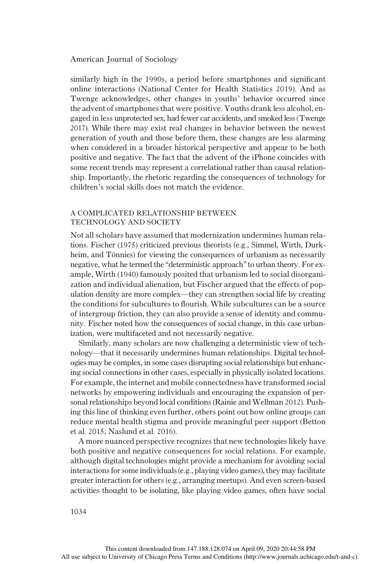similarly high in the 1990s, a period before smartphones and significant online interactions (National Center for Health Statistics 2019). And as Twenge acknowledges, other changes in youths' behavior occurred since the advent of smartphones that were positive. Youths drank less alcohol, engaged in less unprotected sex, had fewer car accidents, and smoked less (Twenge 2017). While there may exist real changes in behavior between the newest generation of youth and those before them, these changes are less alarming when considered in a broader historical perspective and appear to be both positive and negative. The fact that the advent of the iPhone coincides with some recent trends may represent a correlational rather than causal relationship. Importantly, the rhetoric regarding the consequences of technology for children's social skills does not match the evidence.

# A COMPLICATED RELATIONSHIP BETWEEN TECHNOLOGY AND SOCIETY

Not all scholars have assumed that modernization undermines human relations. Fischer (1975) criticized previous theorists (e.g., Simmel, Wirth, Durkheim, and Tönnies) for viewing the consequences of urbanism as necessarily negative, what he termed the "deterministic approach"to urban theory. For example, Wirth (1940) famously posited that urbanism led to social disorganization and individual alienation, but Fischer argued that the effects of population density are more complex—they can strengthen social life by creating the conditions for subcultures to flourish. While subcultures can be a source of intergroup friction, they can also provide a sense of identity and community. Fischer noted how the consequences of social change, in this case urbanization, were multifaceted and not necessarily negative.

Similarly, many scholars are now challenging a deterministic view of technology—that it necessarily undermines human relationships. Digital technologies may be complex, in some cases disrupting social relationships but enhancing social connections in other cases, especially in physically isolated locations. For example, the internet and mobile connectedness have transformed social networks by empowering individuals and encouraging the expansion of personal relationships beyond local conditions (Rainie and Wellman 2012). Pushing this line of thinking even further, others point out how online groups can reduce mental health stigma and provide meaningful peer support (Betton et al. 2015; Naslund et al. 2016).

A more nuanced perspective recognizes that new technologies likely have both positive and negative consequences for social relations. For example, although digital technologies might provide a mechanism for avoiding social interactions for some individuals (e.g., playing video games), they may facilitate greater interaction for others (e.g., arranging meetups). And even screen-based activities thought to be isolating, like playing video games, often have social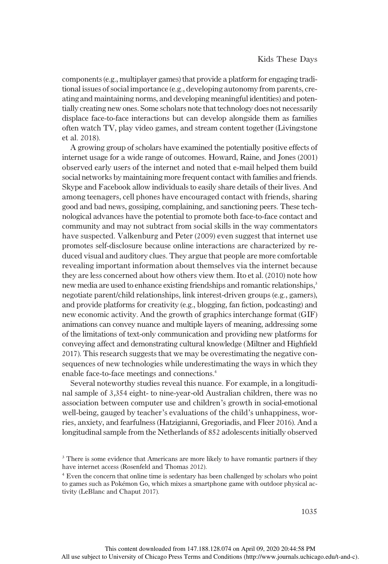components (e.g., multiplayer games) that provide a platform for engaging traditional issues of social importance (e.g., developing autonomy from parents, creating and maintaining norms, and developing meaningful identities) and potentially creating new ones. Some scholars note that technology does not necessarily displace face-to-face interactions but can develop alongside them as families often watch TV, play video games, and stream content together (Livingstone et al. 2018).

A growing group of scholars have examined the potentially positive effects of internet usage for a wide range of outcomes. Howard, Raine, and Jones (2001) observed early users of the internet and noted that e-mail helped them build social networks by maintaining more frequent contact with families and friends. Skype and Facebook allow individuals to easily share details of their lives. And among teenagers, cell phones have encouraged contact with friends, sharing good and bad news, gossiping, complaining, and sanctioning peers. These technological advances have the potential to promote both face-to-face contact and community and may not subtract from social skills in the way commentators have suspected. Valkenburg and Peter (2009) even suggest that internet use promotes self-disclosure because online interactions are characterized by reduced visual and auditory clues. They argue that people are more comfortable revealing important information about themselves via the internet because they are less concerned about how others view them. Ito et al. (2010) note how new media are used to enhance existing friendships and romantic relationships,<sup>3</sup> negotiate parent/child relationships, link interest-driven groups (e.g., gamers), and provide platforms for creativity (e.g., blogging, fan fiction, podcasting) and new economic activity. And the growth of graphics interchange format (GIF) animations can convey nuance and multiple layers of meaning, addressing some of the limitations of text-only communication and providing new platforms for conveying affect and demonstrating cultural knowledge (Miltner and Highfield 2017). This research suggests that we may be overestimating the negative consequences of new technologies while underestimating the ways in which they enable face-to-face meetings and connections.<sup>4</sup>

Several noteworthy studies reveal this nuance. For example, in a longitudinal sample of 3,354 eight- to nine-year-old Australian children, there was no association between computer use and children's growth in social-emotional well-being, gauged by teacher's evaluations of the child's unhappiness, worries, anxiety, and fearfulness (Hatzigianni, Gregoriadis, and Fleer 2016). And a longitudinal sample from the Netherlands of 852 adolescents initially observed

<sup>&</sup>lt;sup>3</sup> There is some evidence that Americans are more likely to have romantic partners if they have internet access (Rosenfeld and Thomas 2012).

<sup>4</sup> Even the concern that online time is sedentary has been challenged by scholars who point to games such as Pokémon Go, which mixes a smartphone game with outdoor physical activity (LeBlanc and Chaput 2017).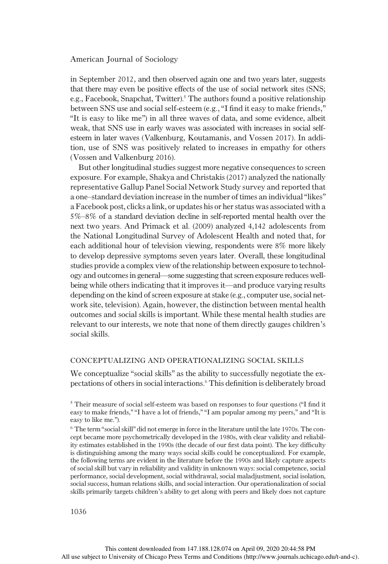in September 2012, and then observed again one and two years later, suggests that there may even be positive effects of the use of social network sites (SNS; e.g., Facebook, Snapchat, Twitter).<sup>5</sup> The authors found a positive relationship between SNS use and social self-esteem (e.g., "I find it easy to make friends," "It is easy to like me") in all three waves of data, and some evidence, albeit weak, that SNS use in early waves was associated with increases in social selfesteem in later waves (Valkenburg, Koutamanis, and Vossen 2017). In addition, use of SNS was positively related to increases in empathy for others (Vossen and Valkenburg 2016).

But other longitudinal studies suggest more negative consequences to screen exposure. For example, Shakya and Christakis (2017) analyzed the nationally representative Gallup Panel Social Network Study survey and reported that a one–standard deviation increase in the number of times an individual"likes" a Facebook post, clicks a link, or updates his or her status was associated with a 5%–8% of a standard deviation decline in self-reported mental health over the next two years. And Primack et al. (2009) analyzed 4,142 adolescents from the National Longitudinal Survey of Adolescent Health and noted that, for each additional hour of television viewing, respondents were 8% more likely to develop depressive symptoms seven years later. Overall, these longitudinal studies provide a complex view of the relationship between exposure to technology and outcomes in general—some suggesting that screen exposure reduces wellbeing while others indicating that it improves it—and produce varying results depending on the kind of screen exposure at stake (e.g., computer use, social network site, television). Again, however, the distinction between mental health outcomes and social skills is important. While these mental health studies are relevant to our interests, we note that none of them directly gauges children's social skills.

# CONCEPTUALIZING AND OPERATIONALIZING SOCIAL SKILLS

We conceptualize "social skills" as the ability to successfully negotiate the expectations of others in social interactions.<sup>6</sup> This definition is deliberately broad

 $5$  Their measure of social self-esteem was based on responses to four questions ("I find it easy to make friends," "I have a lot of friends," "I am popular among my peers," and "It is easy to like me.").

<sup>6</sup> The term "social skill" did not emerge in force in the literature until the late 1970s. The concept became more psychometrically developed in the 1980s, with clear validity and reliability estimates established in the 1990s (the decade of our first data point). The key difficulty is distinguishing among the many ways social skills could be conceptualized. For example, the following terms are evident in the literature before the 1990s and likely capture aspects of social skill but vary in reliability and validity in unknown ways: social competence, social performance, social development, social withdrawal, social maladjustment, social isolation, social success, human relations skills, and social interaction. Our operationalization of social skills primarily targets children's ability to get along with peers and likely does not capture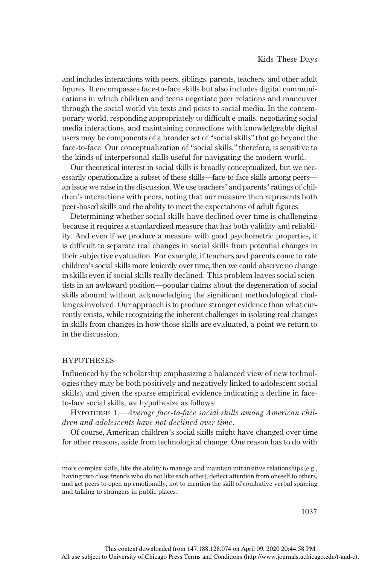and includes interactions with peers, siblings, parents, teachers, and other adult figures. It encompasses face-to-face skills but also includes digital communications in which children and teens negotiate peer relations and maneuver through the social world via texts and posts to social media. In the contemporary world, responding appropriately to difficult e-mails, negotiating social media interactions, and maintaining connections with knowledgeable digital users may be components of a broader set of "social skills" that go beyond the face-to-face. Our conceptualization of "social skills," therefore, is sensitive to the kinds of interpersonal skills useful for navigating the modern world.

Our theoretical interest in social skills is broadly conceptualized, but we necessarily operationalize a subset of these skills—face-to-face skills among peers an issue we raise in the discussion.We use teachers' and parents'ratings of children's interactions with peers, noting that our measure then represents both peer-based skills and the ability to meet the expectations of adult figures.

Determining whether social skills have declined over time is challenging because it requires a standardized measure that has both validity and reliability. And even if we produce a measure with good psychometric properties, it is difficult to separate real changes in social skills from potential changes in their subjective evaluation. For example, if teachers and parents come to rate children's social skills more leniently over time, then we could observe no change in skills even if social skills really declined. This problem leaves social scientists in an awkward position—popular claims about the degeneration of social skills abound without acknowledging the significant methodological challenges involved. Our approach is to produce stronger evidence than what currently exists, while recognizing the inherent challenges in isolating real changes in skills from changes in how those skills are evaluated, a point we return to in the discussion.

#### **HYPOTHESES**

Influenced by the scholarship emphasizing a balanced view of new technologies (they may be both positively and negatively linked to adolescent social skills), and given the sparse empirical evidence indicating a decline in faceto-face social skills, we hypothesize as follows:

HYPOTHESIS 1.—*Average face-to-face social skills among American children and adolescents have not declined over time*.

Of course, American children's social skills might have changed over time for other reasons, aside from technological change. One reason has to do with

more complex skills, like the ability to manage and maintain intransitive relationships (e.g., having two close friends who do not like each other), deflect attention from oneself to others, and get peers to open up emotionally, not to mention the skill of combative verbal sparring and talking to strangers in public places.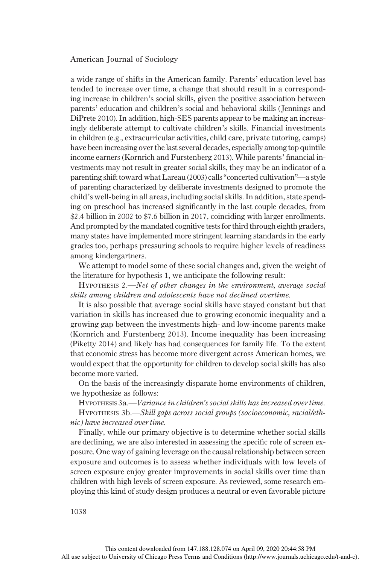a wide range of shifts in the American family. Parents' education level has tended to increase over time, a change that should result in a corresponding increase in children's social skills, given the positive association between parents' education and children's social and behavioral skills (Jennings and DiPrete 2010). In addition, high-SES parents appear to be making an increasingly deliberate attempt to cultivate children's skills. Financial investments in children (e.g., extracurricular activities, child care, private tutoring, camps) have been increasing over the last several decades, especially among top quintile income earners (Kornrich and Furstenberg 2013). While parents' financial investments may not result in greater social skills, they may be an indicator of a parenting shift toward what Lareau (2003) calls"concerted cultivation"—a style of parenting characterized by deliberate investments designed to promote the child's well-being in all areas, including social skills. In addition, state spending on preschool has increased significantly in the last couple decades, from \$2.4 billion in 2002 to \$7.6 billion in 2017, coinciding with larger enrollments. And prompted by the mandated cognitive tests for third through eighth graders, many states have implemented more stringent learning standards in the early grades too, perhaps pressuring schools to require higher levels of readiness among kindergartners.

We attempt to model some of these social changes and, given the weight of the literature for hypothesis 1, we anticipate the following result:

HYPOTHESIS 2.—*Net of other changes in the environment, average social skills among children and adolescents have not declined overtime.*

It is also possible that average social skills have stayed constant but that variation in skills has increased due to growing economic inequality and a growing gap between the investments high- and low-income parents make (Kornrich and Furstenberg 2013). Income inequality has been increasing (Piketty 2014) and likely has had consequences for family life. To the extent that economic stress has become more divergent across American homes, we would expect that the opportunity for children to develop social skills has also become more varied.

On the basis of the increasingly disparate home environments of children, we hypothesize as follows:

HYPOTHESIS 3a.—*Variance in children*'*s social skills has increased over time.* HYPOTHESIS 3b.—*Skill gaps across social groups (socioeconomic, racial/eth-*

*nic) have increased over time.*

Finally, while our primary objective is to determine whether social skills are declining, we are also interested in assessing the specific role of screen exposure. One way of gaining leverage on the causal relationship between screen exposure and outcomes is to assess whether individuals with low levels of screen exposure enjoy greater improvements in social skills over time than children with high levels of screen exposure. As reviewed, some research employing this kind of study design produces a neutral or even favorable picture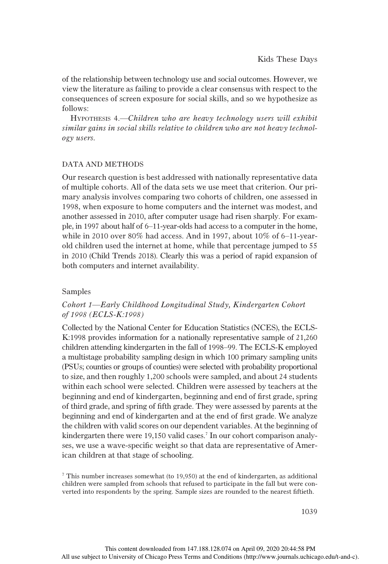of the relationship between technology use and social outcomes. However, we view the literature as failing to provide a clear consensus with respect to the consequences of screen exposure for social skills, and so we hypothesize as follows:

HYPOTHESIS 4.—*Children who are heavy technology users will exhibit similar gains in social skills relative to children who are not heavy technology users.*

# DATA AND METHODS

Our research question is best addressed with nationally representative data of multiple cohorts. All of the data sets we use meet that criterion. Our primary analysis involves comparing two cohorts of children, one assessed in 1998, when exposure to home computers and the internet was modest, and another assessed in 2010, after computer usage had risen sharply. For example, in 1997 about half of 6–11-year-olds had access to a computer in the home, while in 2010 over 80% had access. And in 1997, about 10% of 6–11-yearold children used the internet at home, while that percentage jumped to 55 in 2010 (Child Trends 2018). Clearly this was a period of rapid expansion of both computers and internet availability.

# Samples

# *Cohort 1*—*Early Childhood Longitudinal Study, Kindergarten Cohort of 1998 (ECLS-K:1998)*

Collected by the National Center for Education Statistics (NCES), the ECLS-K:1998 provides information for a nationally representative sample of 21,260 children attending kindergarten in the fall of 1998–99. The ECLS-K employed a multistage probability sampling design in which 100 primary sampling units (PSUs; counties or groups of counties) were selected with probability proportional to size, and then roughly 1,200 schools were sampled, and about 24 students within each school were selected. Children were assessed by teachers at the beginning and end of kindergarten, beginning and end of first grade, spring of third grade, and spring of fifth grade. They were assessed by parents at the beginning and end of kindergarten and at the end of first grade. We analyze the children with valid scores on our dependent variables. At the beginning of kindergarten there were 19,150 valid cases.<sup>7</sup> In our cohort comparison analyses, we use a wave-specific weight so that data are representative of American children at that stage of schooling.

<sup>7</sup> This number increases somewhat (to 19,950) at the end of kindergarten, as additional children were sampled from schools that refused to participate in the fall but were converted into respondents by the spring. Sample sizes are rounded to the nearest fiftieth.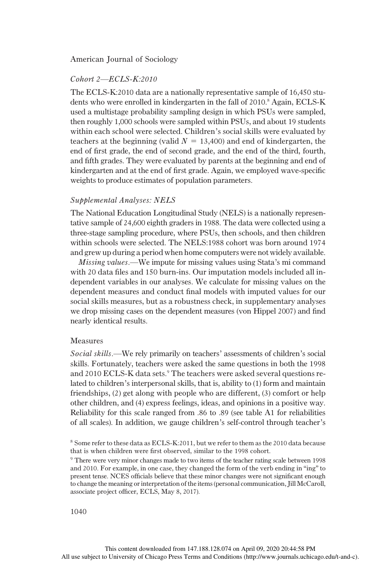# *Cohort 2*—*ECLS-K:2010*

The ECLS-K:2010 data are a nationally representative sample of 16,450 students who were enrolled in kindergarten in the fall of 2010.<sup>8</sup> Again, ECLS-K used a multistage probability sampling design in which PSUs were sampled, then roughly 1,000 schools were sampled within PSUs, and about 19 students within each school were selected. Children's social skills were evaluated by teachers at the beginning (valid  $N = 13,400$ ) and end of kindergarten, the end of first grade, the end of second grade, and the end of the third, fourth, and fifth grades. They were evaluated by parents at the beginning and end of kindergarten and at the end of first grade. Again, we employed wave-specific weights to produce estimates of population parameters.

# *Supplemental Analyses: NELS*

The National Education Longitudinal Study (NELS) is a nationally representative sample of 24,600 eighth graders in 1988. The data were collected using a three-stage sampling procedure, where PSUs, then schools, and then children within schools were selected. The NELS:1988 cohort was born around 1974 and grew up during a period when home computers were not widely available.

*Missing values*.—We impute for missing values using Stata's mi command with 20 data files and 150 burn-ins. Our imputation models included all independent variables in our analyses. We calculate for missing values on the dependent measures and conduct final models with imputed values for our social skills measures, but as a robustness check, in supplementary analyses we drop missing cases on the dependent measures (von Hippel 2007) and find nearly identical results.

# **Measures**

*Social skills*.—We rely primarily on teachers' assessments of children's social skills. Fortunately, teachers were asked the same questions in both the 1998 and 2010 ECLS-K data sets.<sup>9</sup> The teachers were asked several questions related to children's interpersonal skills, that is, ability to (1) form and maintain friendships, (2) get along with people who are different, (3) comfort or help other children, and (4) express feelings, ideas, and opinions in a positive way. Reliability for this scale ranged from .86 to .89 (see table A1 for reliabilities of all scales). In addition, we gauge children's self-control through teacher's

<sup>8</sup> Some refer to these data as ECLS-K:2011, but we refer to them as the 2010 data because that is when children were first observed, similar to the 1998 cohort.

<sup>9</sup> There were very minor changes made to two items of the teacher rating scale between 1998 and 2010. For example, in one case, they changed the form of the verb ending in "ing" to present tense. NCES officials believe that these minor changes were not significant enough to change the meaning or interpretation of the items (personal communication, Jill McCaroll, associate project officer, ECLS, May 8, 2017).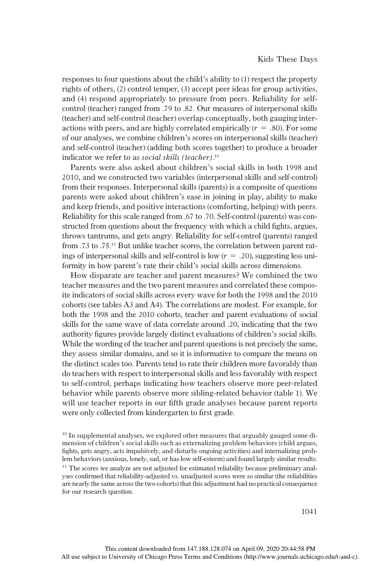responses to four questions about the child's ability to (1) respect the property rights of others, (2) control temper, (3) accept peer ideas for group activities, and (4) respond appropriately to pressure from peers. Reliability for selfcontrol (teacher) ranged from .79 to .82. Our measures of interpersonal skills (teacher) and self-control (teacher) overlap conceptually, both gauging interactions with peers, and are highly correlated empirically ( $r = .80$ ). For some of our analyses, we combine children's scores on interpersonal skills (teacher) and self-control (teacher) (adding both scores together) to produce a broader indicator we refer to as *social skills (teacher)*. 10

Parents were also asked about children's social skills in both 1998 and 2010, and we constructed two variables (interpersonal skills and self-control) from their responses. Interpersonal skills (parents) is a composite of questions parents were asked about children's ease in joining in play, ability to make and keep friends, and positive interactions (comforting, helping) with peers. Reliability for this scale ranged from .67 to .70. Self-control (parents) was constructed from questions about the frequency with which a child fights, argues, throws tantrums, and gets angry. Reliability for self-control (parents) ranged from .73 to .75.<sup>11</sup> But unlike teacher scores, the correlation between parent ratings of interpersonal skills and self-control is low  $(r = .20)$ , suggesting less uniformity in how parent's rate their child's social skills across dimensions.

How disparate are teacher and parent measures? We combined the two teacher measures and the two parent measures and correlated these composite indicators of social skills across every wave for both the 1998 and the 2010 cohorts (see tables A3 and A4). The correlations are modest. For example, for both the 1998 and the 2010 cohorts, teacher and parent evaluations of social skills for the same wave of data correlate around .20, indicating that the two authority figures provide largely distinct evaluations of children's social skills. While the wording of the teacher and parent questions is not precisely the same, they assess similar domains, and so it is informative to compare the means on the distinct scales too. Parents tend to rate their children more favorably than do teachers with respect to interpersonal skills and less favorably with respect to self-control, perhaps indicating how teachers observe more peer-related behavior while parents observe more sibling-related behavior (table 1). We will use teacher reports in our fifth grade analyses because parent reports were only collected from kindergarten to first grade.

<sup>&</sup>lt;sup>10</sup> In supplemental analyses, we explored other measures that arguably gauged some dimension of children's social skills such as externalizing problem behaviors (child argues, fights, gets angry, acts impulsively, and disturbs ongoing activities) and internalizing problem behaviors (anxious, lonely, sad, or has low self-esteem) and found largely similar results.  $11$  The scores we analyze are not adjusted for estimated reliability because preliminary analyses confirmed that reliability-adjusted vs. unadjusted scores were so similar (the reliabilities are nearly the same across the two cohorts) that this adjustment had no practical consequence for our research question.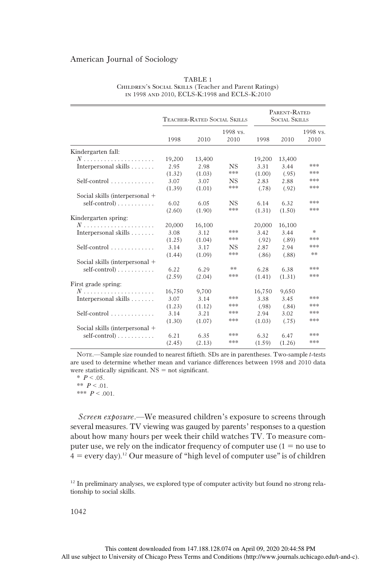|                                      |        |        | TEACHER-RATED SOCIAL SKILLS |        | PARENT-RATED<br><b>SOCIAL SKILLS</b> |                  |
|--------------------------------------|--------|--------|-----------------------------|--------|--------------------------------------|------------------|
|                                      | 1998   | 2010   | 1998 vs.<br>2010            | 1998   | 2010                                 | 1998 vs.<br>2010 |
| Kindergarten fall:                   |        |        |                             |        |                                      |                  |
|                                      | 19,200 | 13,400 |                             | 19,200 | 13,400                               |                  |
| Interpersonal skills                 | 2.95   | 2.98   | <b>NS</b>                   | 3.31   | 3.44                                 | ***              |
|                                      | (1.32) | (1.03) | ***                         | (1.00) | (.95)                                | ***              |
|                                      | 3.07   | 3.07   | <b>NS</b>                   | 2.83   | 2.88                                 | ***              |
|                                      | (1.39) | (1.01) | ***                         | (.78)  | (.92)                                | ***              |
| Social skills (interpersonal +       |        |        |                             |        |                                      |                  |
| $self-control) \ldots \ldots \ldots$ | 6.02   | 6.05   | <b>NS</b>                   | 6.14   | 6.32                                 | ***              |
|                                      | (2.60) | (1.90) | ***                         | (1.31) | (1.50)                               | ***              |
| Kindergarten spring:                 |        |        |                             |        |                                      |                  |
|                                      | 20,000 | 16,100 |                             | 20,000 | 16,100                               |                  |
| Interpersonal skills                 | 3.08   | 3.12   | ***                         | 3.42   | 3.44                                 | *                |
|                                      | (1.25) | (1.04) | ***                         | (.92)  | (.89)                                | ***              |
| Self-control                         | 3.14   | 3.17   | NS.                         | 2.87   | 2.94                                 | ***              |
|                                      | (1.44) | (1.09) | ***                         | (.86)  | (.88)                                | **               |
| Social skills (interpersonal +       |        |        |                             |        |                                      |                  |
| $self-control) \ldots \ldots \ldots$ | 6.22   | 6.29   | **                          | 6.28   | 6.38                                 | ***              |
|                                      | (2.59) | (2.04) | ***                         | (1.41) | (1.31)                               | ***              |
| First grade spring:                  |        |        |                             |        |                                      |                  |
|                                      | 16,750 | 9,700  |                             | 16,750 | 9,650                                |                  |
| Interpersonal skills                 | 3.07   | 3.14   | ***                         | 3.38   | 3.45                                 | ***              |
|                                      | (1.23) | (1.12) | ***                         | (.98)  | (.84)                                | ***              |
|                                      | 3.14   | 3.21   | ***                         | 2.94   | 3.02                                 | ***              |
|                                      | (1.30) | (1.07) | ***                         | (1.03) | (.75)                                | ***              |
| Social skills (interpersonal +       |        |        |                             |        |                                      |                  |
| $self-control)$                      | 6.21   | 6.35   | ***                         | 6.32   | 6.47                                 | ***              |
|                                      | (2.45) | (2.13) | ***                         | (1.59) | (1.26)                               | ***              |
|                                      |        |        |                             |        |                                      |                  |

TABLE 1 Children's Social Skills (Teacher and Parent Ratings) in 1998 and 2010, ECLS-K:1998 and ECLS-K:2010

NOTE.—Sample size rounded to nearest fiftieth. SDs are in parentheses. Two-sample *t*-tests are used to determine whether mean and variance differences between 1998 and 2010 data were statistically significant.  $NS = not$  significant.

 $*$   $P < .05$ .

\*\*  $P < 0.01$ .

\*\*\*  $P < 0.01$ .

*Screen exposure*.—We measured children's exposure to screens through several measures. TV viewing was gauged by parents' responses to a question about how many hours per week their child watches TV. To measure computer use, we rely on the indicator frequency of computer use  $(1 = no$  use to  $4 =$  every day).<sup>12</sup> Our measure of "high level of computer use" is of children

<sup>12</sup> In preliminary analyses, we explored type of computer activity but found no strong relationship to social skills.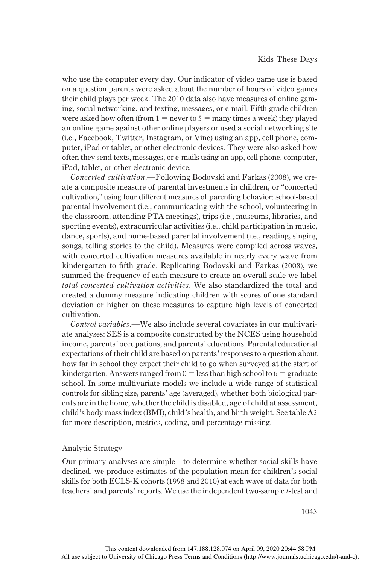who use the computer every day. Our indicator of video game use is based on a question parents were asked about the number of hours of video games their child plays per week. The 2010 data also have measures of online gaming, social networking, and texting, messages, or e-mail. Fifth grade children were asked how often (from  $1 =$  never to  $5 =$  many times a week) they played an online game against other online players or used a social networking site (i.e., Facebook, Twitter, Instagram, or Vine) using an app, cell phone, computer, iPad or tablet, or other electronic devices. They were also asked how often they send texts, messages, or e-mails using an app, cell phone, computer, iPad, tablet, or other electronic device.

*Concerted cultivation*.—Following Bodovski and Farkas (2008), we create a composite measure of parental investments in children, or "concerted cultivation," using four different measures of parenting behavior: school-based parental involvement (i.e., communicating with the school, volunteering in the classroom, attending PTA meetings), trips (i.e., museums, libraries, and sporting events), extracurricular activities (i.e., child participation in music, dance, sports), and home-based parental involvement (i.e., reading, singing songs, telling stories to the child). Measures were compiled across waves, with concerted cultivation measures available in nearly every wave from kindergarten to fifth grade. Replicating Bodovski and Farkas (2008), we summed the frequency of each measure to create an overall scale we label *total concerted cultivation activities*. We also standardized the total and created a dummy measure indicating children with scores of one standard deviation or higher on these measures to capture high levels of concerted cultivation.

*Control variables*.—We also include several covariates in our multivariate analyses: SES is a composite constructed by the NCES using household income, parents' occupations, and parents' educations. Parental educational expectations of their child are based on parents'responses to a question about how far in school they expect their child to go when surveyed at the start of kindergarten. Answers ranged from  $0 =$  less than high school to  $6 =$  graduate school. In some multivariate models we include a wide range of statistical controls for sibling size, parents' age (averaged), whether both biological parents are in the home, whether the child is disabled, age of child at assessment, child's body mass index (BMI), child's health, and birth weight. See table A2 for more description, metrics, coding, and percentage missing.

#### Analytic Strategy

Our primary analyses are simple—to determine whether social skills have declined, we produce estimates of the population mean for children's social skills for both ECLS-K cohorts (1998 and 2010) at each wave of data for both teachers' and parents' reports. We use the independent two-sample *t*-test and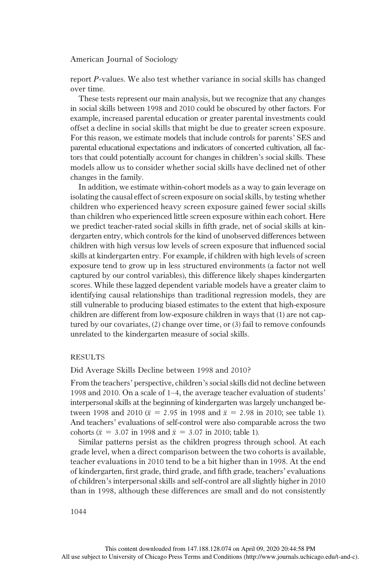report *P*-values. We also test whether variance in social skills has changed over time.

These tests represent our main analysis, but we recognize that any changes in social skills between 1998 and 2010 could be obscured by other factors. For example, increased parental education or greater parental investments could offset a decline in social skills that might be due to greater screen exposure. For this reason, we estimate models that include controls for parents' SES and parental educational expectations and indicators of concerted cultivation, all factors that could potentially account for changes in children's social skills. These models allow us to consider whether social skills have declined net of other changes in the family.

In addition, we estimate within-cohort models as a way to gain leverage on isolating the causal effect of screen exposure on social skills, by testing whether children who experienced heavy screen exposure gained fewer social skills than children who experienced little screen exposure within each cohort. Here we predict teacher-rated social skills in fifth grade, net of social skills at kindergarten entry, which controls for the kind of unobserved differences between children with high versus low levels of screen exposure that influenced social skills at kindergarten entry. For example, if children with high levels of screen exposure tend to grow up in less structured environments (a factor not well captured by our control variables), this difference likely shapes kindergarten scores. While these lagged dependent variable models have a greater claim to identifying causal relationships than traditional regression models, they are still vulnerable to producing biased estimates to the extent that high-exposure children are different from low-exposure children in ways that (1) are not captured by our covariates, (2) change over time, or (3) fail to remove confounds unrelated to the kindergarten measure of social skills.

#### RESULTS

# Did Average Skills Decline between 1998 and 2010?

From the teachers' perspective, children's social skills did not decline between 1998 and 2010. On a scale of 1–4, the average teacher evaluation of students' interpersonal skills at the beginning of kindergarten was largely unchanged between 1998 and 2010 ( $\bar{x}$  = 2.95 in 1998 and  $\bar{x}$  = 2.98 in 2010; see table 1). And teachers' evaluations of self-control were also comparable across the two cohorts ( $\bar{x}$  = 3.07 in 1998 and  $\bar{x}$  = 3.07 in 2010; table 1).

Similar patterns persist as the children progress through school. At each grade level, when a direct comparison between the two cohorts is available, teacher evaluations in 2010 tend to be a bit higher than in 1998. At the end of kindergarten, first grade, third grade, and fifth grade, teachers' evaluations of children's interpersonal skills and self-control are all slightly higher in 2010 than in 1998, although these differences are small and do not consistently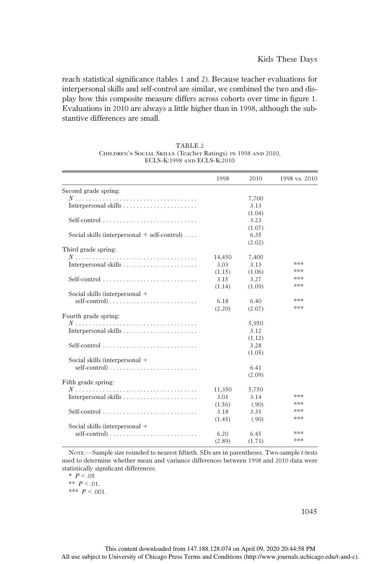reach statistical significance (tables 1 and 2). Because teacher evaluations for interpersonal skills and self-control are similar, we combined the two and display how this composite measure differs across cohorts over time in figure 1. Evaluations in 2010 are always a little higher than in 1998, although the substantive differences are small.

|                                                                 | 1998   | 2010   | 1998 vs. 2010 |
|-----------------------------------------------------------------|--------|--------|---------------|
| Second grade spring:                                            |        |        |               |
|                                                                 |        | 7,700  |               |
|                                                                 |        | 3.13   |               |
|                                                                 |        | (1.04) |               |
|                                                                 |        | 3.23   |               |
|                                                                 |        | (1.07) |               |
| Social skills (interpersonal $+$ self-control)                  |        | 6.35   |               |
|                                                                 |        | (2.02) |               |
| Third grade spring:                                             |        |        |               |
|                                                                 | 14,450 | 7,400  |               |
|                                                                 | 3.03   | 3.13   | ***           |
|                                                                 | (1.15) | (1.06) | ***           |
| Self-control $\ldots \ldots \ldots \ldots \ldots \ldots \ldots$ | 3.15   | 3.27   | ***           |
|                                                                 | (1.14) | (1.09) | ***           |
| Social skills (interpersonal +                                  |        |        |               |
|                                                                 | 6.18   | 6.40   | ***           |
|                                                                 | (2.20) | (2.07) | ***           |
| Fourth grade spring:                                            |        |        |               |
|                                                                 |        | 5,950  |               |
|                                                                 |        | 3.12   |               |
|                                                                 |        | (1.12) |               |
|                                                                 |        | 3.28   |               |
|                                                                 |        | (1.05) |               |
| Social skills (interpersonal +                                  |        |        |               |
| $self-control)$                                                 |        | 6.41   |               |
|                                                                 |        | (2.09) |               |
| Fifth grade spring:                                             |        |        |               |
|                                                                 | 11,350 | 5,750  |               |
|                                                                 | 3.01   | 3.14   | ***           |
|                                                                 | (1.56) | (.90)  | ***           |
|                                                                 | 3.18   | 3.31   | ***           |
|                                                                 | (1.45) | (.90)  | ***           |
| Social skills (interpersonal +                                  |        |        |               |
| self-control)                                                   | 6.20   | 6.45   | ***           |
|                                                                 | (2.89) | (1.71) | ***           |

| TABLE 2                                                      |
|--------------------------------------------------------------|
| CHILDREN'S SOCIAL SKILLS (Teacher Ratings) IN 1998 AND 2010, |
| ECLS-K:1998 AND ECLS-K:2010                                  |

NOTE.—Sample size rounded to nearest fiftieth. SDs are in parentheses. Two-sample *t*-tests used to determine whether mean and variance differences between 1998 and 2010 data were statistically significant differences.

 $*$   $P < 0.05$ \*\*  $P < 0.01$ .

\*\*\*  $P < 0.01$ .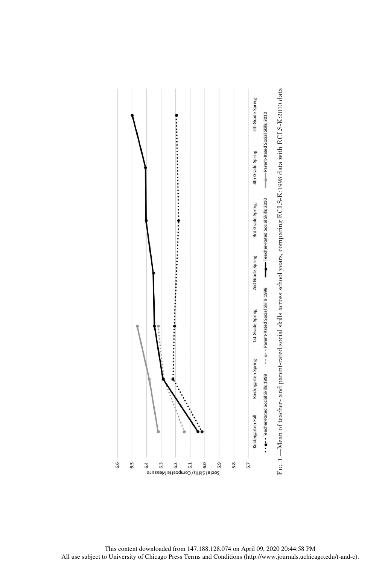

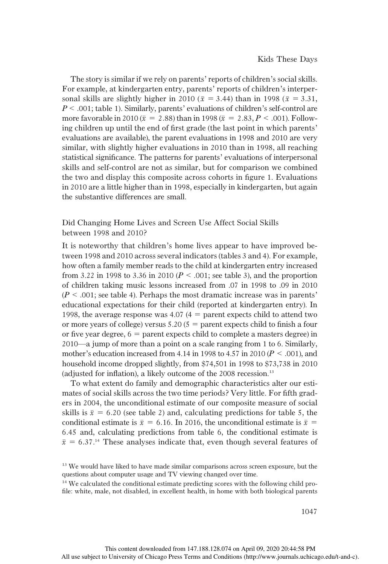The story is similar if we rely on parents' reports of children's social skills. For example, at kindergarten entry, parents' reports of children's interpersonal skills are slightly higher in 2010 ( $\bar{x}$  = 3.44) than in 1998 ( $\bar{x}$  = 3.31,  $P \leq 0.001$ ; table 1). Similarly, parents' evaluations of children's self-control are more favorable in 2010 ( $\bar{x} = 2.88$ ) than in 1998 ( $\bar{x} = 2.83, P < .001$ ). Following children up until the end of first grade (the last point in which parents' evaluations are available), the parent evaluations in 1998 and 2010 are very similar, with slightly higher evaluations in 2010 than in 1998, all reaching statistical significance. The patterns for parents' evaluations of interpersonal skills and self-control are not as similar, but for comparison we combined the two and display this composite across cohorts in figure 1. Evaluations in 2010 are a little higher than in 1998, especially in kindergarten, but again the substantive differences are small.

Did Changing Home Lives and Screen Use Affect Social Skills between 1998 and 2010?

It is noteworthy that children's home lives appear to have improved between 1998 and 2010 across several indicators (tables 3 and 4). For example, how often a family member reads to the child at kindergarten entry increased from 3.22 in 1998 to 3.36 in 2010 ( $P < .001$ ; see table 3), and the proportion of children taking music lessons increased from .07 in 1998 to .09 in 2010  $(P \le 0.001$ ; see table 4). Perhaps the most dramatic increase was in parents' educational expectations for their child (reported at kindergarten entry). In 1998, the average response was  $4.07$  ( $4 =$  parent expects child to attend two or more years of college) versus  $5.20 (5 =$  parent expects child to finish a four or five year degree,  $6 =$  parent expects child to complete a masters degree) in 2010—a jump of more than a point on a scale ranging from 1 to 6. Similarly, mother's education increased from 4.14 in 1998 to 4.57 in 2010 ( $P < .001$ ), and household income dropped slightly, from \$74,501 in 1998 to \$73,738 in 2010 (adjusted for inflation), a likely outcome of the 2008 recession.<sup>13</sup>

To what extent do family and demographic characteristics alter our estimates of social skills across the two time periods? Very little. For fifth graders in 2004, the unconditional estimate of our composite measure of social skills is  $\bar{x} = 6.20$  (see table 2) and, calculating predictions for table 5, the conditional estimate is  $\bar{x} = 6.16$ . In 2016, the unconditional estimate is  $\bar{x} =$ 6:45 and, calculating predictions from table 6, the conditional estimate is  $\bar{x}$  = 6.37.<sup>14</sup> These analyses indicate that, even though several features of

<sup>&</sup>lt;sup>13</sup> We would have liked to have made similar comparisons across screen exposure, but the questions about computer usage and TV viewing changed over time.

<sup>&</sup>lt;sup>14</sup> We calculated the conditional estimate predicting scores with the following child profile: white, male, not disabled, in excellent health, in home with both biological parents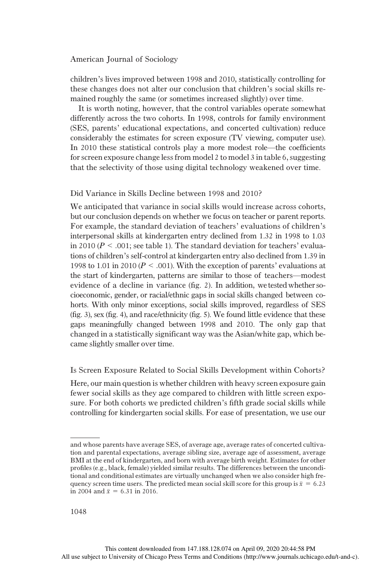children's lives improved between 1998 and 2010, statistically controlling for these changes does not alter our conclusion that children's social skills remained roughly the same (or sometimes increased slightly) over time.

It is worth noting, however, that the control variables operate somewhat differently across the two cohorts. In 1998, controls for family environment (SES, parents' educational expectations, and concerted cultivation) reduce considerably the estimates for screen exposure (TV viewing, computer use). In 2010 these statistical controls play a more modest role—the coefficients for screen exposure change less from model 2 to model 3 in table 6, suggesting that the selectivity of those using digital technology weakened over time.

# Did Variance in Skills Decline between 1998 and 2010?

We anticipated that variance in social skills would increase across cohorts, but our conclusion depends on whether we focus on teacher or parent reports. For example, the standard deviation of teachers' evaluations of children's interpersonal skills at kindergarten entry declined from 1.32 in 1998 to 1.03 in 2010 ( $P < 0.001$ ; see table 1). The standard deviation for teachers' evaluations of children's self-control at kindergarten entry also declined from 1.39 in 1998 to 1.01 in 2010 ( $P < .001$ ). With the exception of parents' evaluations at the start of kindergarten, patterns are similar to those of teachers—modest evidence of a decline in variance (fig. 2). In addition, we testedwhether socioeconomic, gender, or racial/ethnic gaps in social skills changed between cohorts. With only minor exceptions, social skills improved, regardless of SES (fig. 3), sex (fig. 4), and race/ethnicity (fig. 5). We found little evidence that these gaps meaningfully changed between 1998 and 2010. The only gap that changed in a statistically significant way was the Asian/white gap, which became slightly smaller over time.

# Is Screen Exposure Related to Social Skills Development within Cohorts?

Here, our main question is whether children with heavy screen exposure gain fewer social skills as they age compared to children with little screen exposure. For both cohorts we predicted children's fifth grade social skills while controlling for kindergarten social skills. For ease of presentation, we use our

and whose parents have average SES, of average age, average rates of concerted cultivation and parental expectations, average sibling size, average age of assessment, average BMI at the end of kindergarten, and born with average birth weight. Estimates for other profiles (e.g., black, female) yielded similar results. The differences between the unconditional and conditional estimates are virtually unchanged when we also consider high frequency screen time users. The predicted mean social skill score for this group is  $\bar{x} = 6.23$ in 2004 and  $\bar{x} = 6.31$  in 2016.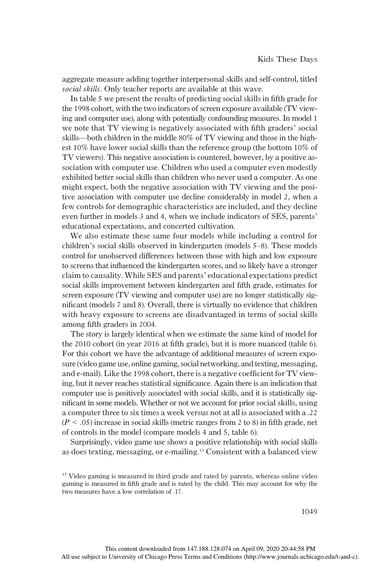aggregate measure adding together interpersonal skills and self-control, titled *social skills*. Only teacher reports are available at this wave.

In table 5 we present the results of predicting social skills in fifth grade for the 1998 cohort, with the two indicators of screen exposure available (TV viewing and computer use), along with potentially confounding measures. In model 1 we note that TV viewing is negatively associated with fifth graders' social skills—both children in the middle 80% of TV viewing and those in the highest 10% have lower social skills than the reference group (the bottom 10% of TV viewers). This negative association is countered, however, by a positive association with computer use. Children who used a computer even modestly exhibited better social skills than children who never used a computer. As one might expect, both the negative association with TV viewing and the positive association with computer use decline considerably in model 2, when a few controls for demographic characteristics are included, and they decline even further in models 3 and 4, when we include indicators of SES, parents' educational expectations, and concerted cultivation.

We also estimate these same four models while including a control for children's social skills observed in kindergarten (models 5–8). These models control for unobserved differences between those with high and low exposure to screens that influenced the kindergarten scores, and so likely have a stronger claim to causality. While SES and parents' educational expectations predict social skills improvement between kindergarten and fifth grade, estimates for screen exposure (TV viewing and computer use) are no longer statistically significant (models 7 and 8). Overall, there is virtually no evidence that children with heavy exposure to screens are disadvantaged in terms of social skills among fifth graders in 2004.

The story is largely identical when we estimate the same kind of model for the 2010 cohort (in year 2016 at fifth grade), but it is more nuanced (table 6). For this cohort we have the advantage of additional measures of screen exposure (video game use, online gaming, social networking, and texting, messaging, and e-mail). Like the 1998 cohort, there is a negative coefficient for TV viewing, but it never reaches statistical significance. Again there is an indication that computer use is positively associated with social skills, and it is statistically significant in some models. Whether or not we account for prior social skills, using a computer three to six times a week versus not at all is associated with a .22  $(P < .05)$  increase in social skills (metric ranges from 2 to 8) in fifth grade, net of controls in the model (compare models 4 and 5, table 6).

Surprisingly, video game use shows a positive relationship with social skills as does texting, messaging, or e-mailing.<sup>15</sup> Consistent with a balanced view

<sup>&</sup>lt;sup>15</sup> Video gaming is measured in third grade and rated by parents, whereas online video gaming is measured in fifth grade and is rated by the child. This may account for why the two measures have a low correlation of .17.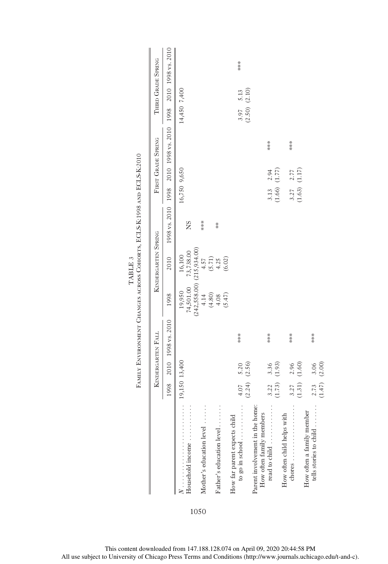| 1998 vs. 2010 1998 2010 1998 vs. 2010 1998 2010 1998 vs. 2010<br>14,450 7,400<br>$5.13$<br>(2.10)<br>$3.97$<br>(2.50)<br>***<br>***<br>16,750 9,650<br>$2.94$<br>(1.77)<br>$2.77$<br>(1.17)<br>$3.13$<br>(1.66)<br>$3.27$<br>(1.63)<br>SN<br>***<br>$*$<br>$\begin{array}{cc} 74, 501.00 & 73, 738.00 \\ (242, 558.00) & (215, 934.00) \\ 4.14 & 4.57 \\ (4.80) & (5.71) \\ 4.08 & 4.25 \\ (5.47) & 4.25 \\ (6.02) \end{array}$<br>16,100<br>2010<br>19,950<br>1998<br>2010 1998 vs. 2010<br>***<br>***<br>***<br>***<br>$\ldots$ 19,150 13,400<br>$\frac{2.96}{(1.60)}$<br>$3.36$<br>(1.93)<br>$3.06$<br>$(2.00)$<br>$5.20$<br>(2.56)<br>1998<br>$4.07$<br>(2.24)<br>$3.27$<br>(1.31)<br>$2.73$<br>(1.47)<br>$3.22$<br>(1.73)<br>$\vdots$<br>to go in school<br>$\vdots$<br>Parent involvement in the home:<br>tells stories to child<br>read to child<br>choices $\cdots \cdots \cdots$<br>How often a family member<br>How often family members<br>How often child helps with<br>Father's education level<br>Household income<br>Mother's education level $\ldots$<br>How far parent expects child |  | KINDERGARTEN FALL | <b>KINDERGARTEN SPRING</b> |  | FIRST GRADE SPRING | THIRD GRADE SPRING |     |
|-------------------------------------------------------------------------------------------------------------------------------------------------------------------------------------------------------------------------------------------------------------------------------------------------------------------------------------------------------------------------------------------------------------------------------------------------------------------------------------------------------------------------------------------------------------------------------------------------------------------------------------------------------------------------------------------------------------------------------------------------------------------------------------------------------------------------------------------------------------------------------------------------------------------------------------------------------------------------------------------------------------------------------------------------------------------------------------------------------|--|-------------------|----------------------------|--|--------------------|--------------------|-----|
|                                                                                                                                                                                                                                                                                                                                                                                                                                                                                                                                                                                                                                                                                                                                                                                                                                                                                                                                                                                                                                                                                                       |  |                   |                            |  |                    |                    |     |
|                                                                                                                                                                                                                                                                                                                                                                                                                                                                                                                                                                                                                                                                                                                                                                                                                                                                                                                                                                                                                                                                                                       |  |                   |                            |  |                    |                    |     |
|                                                                                                                                                                                                                                                                                                                                                                                                                                                                                                                                                                                                                                                                                                                                                                                                                                                                                                                                                                                                                                                                                                       |  |                   |                            |  |                    |                    |     |
|                                                                                                                                                                                                                                                                                                                                                                                                                                                                                                                                                                                                                                                                                                                                                                                                                                                                                                                                                                                                                                                                                                       |  |                   |                            |  |                    |                    |     |
|                                                                                                                                                                                                                                                                                                                                                                                                                                                                                                                                                                                                                                                                                                                                                                                                                                                                                                                                                                                                                                                                                                       |  |                   |                            |  |                    |                    |     |
|                                                                                                                                                                                                                                                                                                                                                                                                                                                                                                                                                                                                                                                                                                                                                                                                                                                                                                                                                                                                                                                                                                       |  |                   |                            |  |                    |                    |     |
|                                                                                                                                                                                                                                                                                                                                                                                                                                                                                                                                                                                                                                                                                                                                                                                                                                                                                                                                                                                                                                                                                                       |  |                   |                            |  |                    |                    |     |
|                                                                                                                                                                                                                                                                                                                                                                                                                                                                                                                                                                                                                                                                                                                                                                                                                                                                                                                                                                                                                                                                                                       |  |                   |                            |  |                    |                    |     |
|                                                                                                                                                                                                                                                                                                                                                                                                                                                                                                                                                                                                                                                                                                                                                                                                                                                                                                                                                                                                                                                                                                       |  |                   |                            |  |                    |                    | *** |
|                                                                                                                                                                                                                                                                                                                                                                                                                                                                                                                                                                                                                                                                                                                                                                                                                                                                                                                                                                                                                                                                                                       |  |                   |                            |  |                    |                    |     |
|                                                                                                                                                                                                                                                                                                                                                                                                                                                                                                                                                                                                                                                                                                                                                                                                                                                                                                                                                                                                                                                                                                       |  |                   |                            |  |                    |                    |     |
|                                                                                                                                                                                                                                                                                                                                                                                                                                                                                                                                                                                                                                                                                                                                                                                                                                                                                                                                                                                                                                                                                                       |  |                   |                            |  |                    |                    |     |
|                                                                                                                                                                                                                                                                                                                                                                                                                                                                                                                                                                                                                                                                                                                                                                                                                                                                                                                                                                                                                                                                                                       |  |                   |                            |  |                    |                    |     |
|                                                                                                                                                                                                                                                                                                                                                                                                                                                                                                                                                                                                                                                                                                                                                                                                                                                                                                                                                                                                                                                                                                       |  |                   |                            |  |                    |                    |     |
|                                                                                                                                                                                                                                                                                                                                                                                                                                                                                                                                                                                                                                                                                                                                                                                                                                                                                                                                                                                                                                                                                                       |  |                   |                            |  |                    |                    |     |
|                                                                                                                                                                                                                                                                                                                                                                                                                                                                                                                                                                                                                                                                                                                                                                                                                                                                                                                                                                                                                                                                                                       |  |                   |                            |  |                    |                    |     |
|                                                                                                                                                                                                                                                                                                                                                                                                                                                                                                                                                                                                                                                                                                                                                                                                                                                                                                                                                                                                                                                                                                       |  |                   |                            |  |                    |                    |     |
|                                                                                                                                                                                                                                                                                                                                                                                                                                                                                                                                                                                                                                                                                                                                                                                                                                                                                                                                                                                                                                                                                                       |  |                   |                            |  |                    |                    |     |
|                                                                                                                                                                                                                                                                                                                                                                                                                                                                                                                                                                                                                                                                                                                                                                                                                                                                                                                                                                                                                                                                                                       |  |                   |                            |  |                    |                    |     |
|                                                                                                                                                                                                                                                                                                                                                                                                                                                                                                                                                                                                                                                                                                                                                                                                                                                                                                                                                                                                                                                                                                       |  |                   |                            |  |                    |                    |     |

TABLE 3<br>Family Environment Changes across Cohorts, ECLS-K:1998 and ECLS-K:2010 Family Environment Changes across Cohorts, ECLS-K:1998 and ECLS-K:2010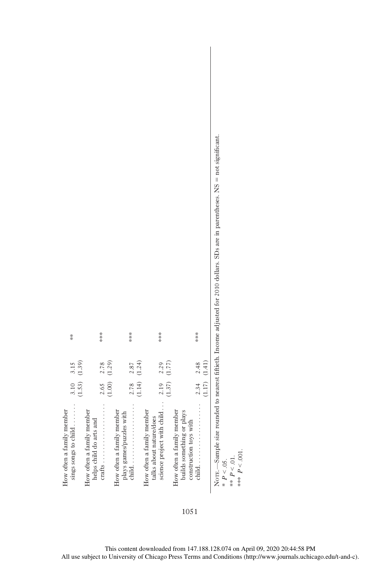| $*$                                               |                                                      | ***  |        |                           |                          | ***  |        |                           |                         | ***                         |        |                           |                           |                        | ***       |               |                                                                    |
|---------------------------------------------------|------------------------------------------------------|------|--------|---------------------------|--------------------------|------|--------|---------------------------|-------------------------|-----------------------------|--------|---------------------------|---------------------------|------------------------|-----------|---------------|--------------------------------------------------------------------|
| (1.39)<br>3.15                                    |                                                      | 2.78 | (1.29) |                           |                          | 2.87 | (1.24) |                           |                         | 2.29                        | (1.77) |                           |                           |                        | 2.34 2.48 | (1.17) (1.41) |                                                                    |
| 3.10<br>(1.53)                                    |                                                      | 2.65 | (1.00) |                           |                          | 2.78 | (1.14) |                           |                         | 2.19                        | (1.37) |                           |                           |                        |           |               |                                                                    |
| sings songs to child<br>How often a family member | How often a family member<br>helps child do arts and |      |        | How often a family member | plays games/puzzles with |      |        | How often a family member | talks about nature/does | science project with child. |        | How often a family member | builds something or plays | construction toys with |           |               | NOTE.—Sample size rounded to nearest fiftieth. Income adjusted for |

NOTE.—Sample size rounded to nearest fiftieth. Income adjusted for 2010 dollars. SDs are in parentheses. NS  $=$  not significant.

\* *P* < .05.<br>\*\* *P* < .0  $P < 01.$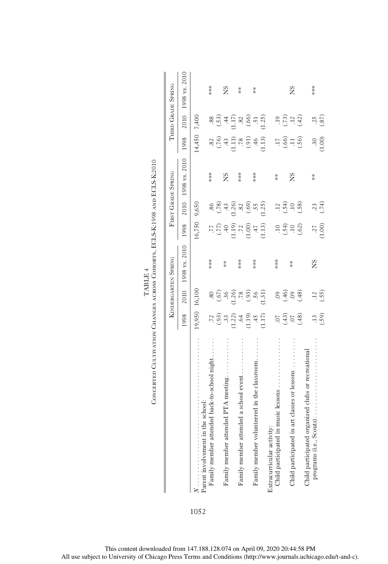|                                                    |                          |                 | <b>KINDERGARTEN SPRING</b> |                                    |                                                                  | FIRST GRADE SPRING |                  |                        | THIRD GRADE SPRING |
|----------------------------------------------------|--------------------------|-----------------|----------------------------|------------------------------------|------------------------------------------------------------------|--------------------|------------------|------------------------|--------------------|
|                                                    | 1998                     |                 | 2010 1998 vs. 2010         | 1998                               | 2010                                                             | 1998 vs. 2010      | 1998             |                        | 2010 1998 vs. 2010 |
| Parent involvement in the school:                  |                          | 19,950 16,100   |                            | 16,750 9,650                       |                                                                  |                    |                  | 14,450 7,400           |                    |
| Family member attended back-to-school night.       |                          | 80              | ***                        |                                    | .86                                                              | ***                | .82              | 88.                    | $**$               |
|                                                    | (.93)                    |                 |                            | (77)                               |                                                                  |                    | (01)             | $(.53)$                |                    |
| Family member attended PTA meeting.                | .33                      | (.67)           | $\frac{*}{*}$              | $\ddot{ }$                         | $(.78)$<br>$.43$<br>$.1.26$                                      | SX                 | 43               |                        | SN                 |
|                                                    |                          |                 |                            |                                    |                                                                  |                    | (1.11)           | (1.17)                 |                    |
| Family member attended a school event.             |                          | (1.26)          | ***                        |                                    | .82                                                              | ***                | .78              | .82                    | $\frac{*}{*}$      |
|                                                    | $1.22$<br>$.64$<br>$.19$ | (.93)           |                            | $1.19$<br>$.72$<br>$1.00$<br>$.47$ | $(69)$<br>$(55)$<br>$(1.25)$                                     |                    | (.91)            | (.66)                  |                    |
| Family member volunteered in the classroom.        |                          |                 | ***                        |                                    |                                                                  | ***                | 46               | $\ddot{5}$             | $\frac{*}{*}$      |
|                                                    | (1.17)                   | (1.31)          |                            | 1.13)                              |                                                                  |                    | (1.13)           | (1.25)                 |                    |
| Extracurricular activity:                          |                          |                 |                            |                                    |                                                                  |                    |                  |                        |                    |
| Child participated in music lessons                | $10$ .                   |                 | ***                        |                                    |                                                                  | $\frac{*}{*}$      | $\overline{11}$  |                        |                    |
|                                                    | (43)                     | 59.5            |                            |                                    |                                                                  |                    |                  |                        |                    |
| Child participated in art classes or lessons       |                          |                 | $\stackrel{*}{\ast}$       | $9.54$<br>$9.5$                    | $\overset{21}{\ldots} \overset{22}{\ldots} \overset{21}{\ldots}$ | SN                 | $(.66)$<br>$.11$ | $19$<br>$(73)$<br>$12$ | Š                  |
|                                                    | (.48)                    | (.48)           |                            | (.62)                              | (.58)                                                            |                    | (.56)            | (.42)                  |                    |
| Child participated organized clubs or recreational |                          |                 |                            |                                    |                                                                  |                    |                  |                        |                    |
|                                                    | $\cdot$ 13               | $\overline{12}$ | Š                          | .27                                | .23                                                              | $* *$              | $\ddot{.}30$     | .25                    | ***                |
|                                                    | (59)                     | (.55)           |                            | (1.00)                             | (.74)                                                            |                    | (1.00)           | (37)                   |                    |

TABLE 4<br>Concerted Cultivation Changes across Cohorts, ECLS-K:1998 and ECLS-K:2010 Concerted Cultivation Changes across Cohorts, ECLS-K:1998 and ECLS-K:2010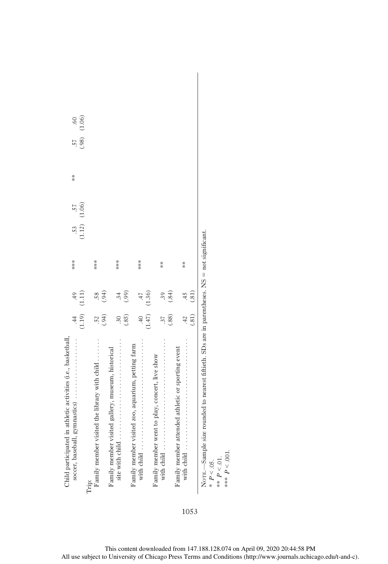| Child participated in athletic activities (i.e., basketball,                                                          |                 |                                                              |               |        |            |     |       |            |  |
|-----------------------------------------------------------------------------------------------------------------------|-----------------|--------------------------------------------------------------|---------------|--------|------------|-----|-------|------------|--|
|                                                                                                                       |                 | 49                                                           | ***           | 53.    | $\ddot{S}$ | $*$ | 57    | <b>99.</b> |  |
|                                                                                                                       | (1.19)          | (1.11)                                                       |               | (1.12) | (1.06)     |     | (.98) | (1.06)     |  |
|                                                                                                                       |                 |                                                              |               |        |            |     |       |            |  |
| Family member visited the library with child                                                                          |                 | 58.                                                          | ***           |        |            |     |       |            |  |
|                                                                                                                       | (66)            | $\left( \begin{smallmatrix} 4 \ 4 \end{smallmatrix} \right)$ |               |        |            |     |       |            |  |
| Family member visited gallery, museum, historical                                                                     |                 |                                                              |               |        |            |     |       |            |  |
|                                                                                                                       | $\ddot{.}30$    | 34                                                           | ***           |        |            |     |       |            |  |
|                                                                                                                       | (35)            | (66)                                                         |               |        |            |     |       |            |  |
| Family member visited zoo, aquarium, petting farm                                                                     |                 |                                                              |               |        |            |     |       |            |  |
|                                                                                                                       | $\ddot{ }$      | $\ddot{t}$                                                   | ***           |        |            |     |       |            |  |
|                                                                                                                       | (1.47)          | (1.36)                                                       |               |        |            |     |       |            |  |
| Family member went to play, concert, live show                                                                        |                 |                                                              |               |        |            |     |       |            |  |
|                                                                                                                       |                 | .39                                                          | $\frac{*}{*}$ |        |            |     |       |            |  |
|                                                                                                                       | (88)            | (.84)                                                        |               |        |            |     |       |            |  |
| Family member attended athletic or sporting event                                                                     |                 |                                                              |               |        |            |     |       |            |  |
|                                                                                                                       |                 |                                                              | $\frac{*}{*}$ |        |            |     |       |            |  |
|                                                                                                                       | $\overline{81}$ | (.81)                                                        |               |        |            |     |       |            |  |
| Nore,—Sample size rounded to nearest fiftieth. SDs are in parentheses. $NS = not$ significant.<br>$*$ $D \sim$ $\cap$ |                 |                                                              |               |        |            |     |       |            |  |

\*  $P < .05$ .<br>\*\*  $P < .0$  $P < 01.$ 

\*\*\*

*P* < .001.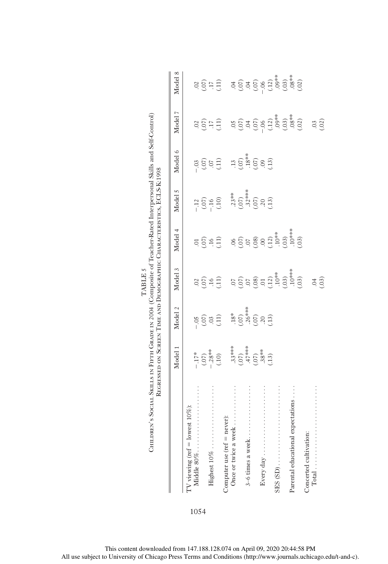|                                      | KEGRESSED ON SCREEN IIME AND DEMOGRAPHIC UHARACTERISTICS, EULS-K:1998            |                                                                                                                  |                        |                                                                                                                                                                                                                                                                                                                                        |                                                                         |                                                                                                                                                                                                                                                                                |                      |                                                                                                                                                                                                                                                                                                                                                                                                                                                              |
|--------------------------------------|----------------------------------------------------------------------------------|------------------------------------------------------------------------------------------------------------------|------------------------|----------------------------------------------------------------------------------------------------------------------------------------------------------------------------------------------------------------------------------------------------------------------------------------------------------------------------------------|-------------------------------------------------------------------------|--------------------------------------------------------------------------------------------------------------------------------------------------------------------------------------------------------------------------------------------------------------------------------|----------------------|--------------------------------------------------------------------------------------------------------------------------------------------------------------------------------------------------------------------------------------------------------------------------------------------------------------------------------------------------------------------------------------------------------------------------------------------------------------|
|                                      | Model 1                                                                          | Model 2                                                                                                          | Model 3                | Model 4                                                                                                                                                                                                                                                                                                                                | Model 5                                                                 | Model 6                                                                                                                                                                                                                                                                        | Model 7              | Model 8                                                                                                                                                                                                                                                                                                                                                                                                                                                      |
| TV viewing (ref = lowest $10\%$ ):   |                                                                                  |                                                                                                                  |                        |                                                                                                                                                                                                                                                                                                                                        |                                                                         |                                                                                                                                                                                                                                                                                |                      |                                                                                                                                                                                                                                                                                                                                                                                                                                                              |
| Middle 80%                           |                                                                                  |                                                                                                                  |                        |                                                                                                                                                                                                                                                                                                                                        |                                                                         |                                                                                                                                                                                                                                                                                |                      |                                                                                                                                                                                                                                                                                                                                                                                                                                                              |
|                                      | $-17*$<br>(.07)<br>(.07)<br>(.10)                                                | $-0.05$<br>$(.07)$<br>$(.07)$<br>$(.07)$<br>$.03$<br>$.03$<br>$.03$<br>$.03$<br>$.03$<br>$.03$<br>$.03$<br>$.03$ | $(36, 6)$<br>$(36, 6)$ | $\vec{a}$ , $\vec{b}$ , $\vec{c}$ , $\vec{c}$                                                                                                                                                                                                                                                                                          | $-12$<br>(.07)<br>$-16$<br>(.10)                                        | $-0.05$<br>$-0.07$<br>$-1.3$<br>$-0.05$<br>$-0.05$<br>$-0.05$<br>$-0.05$<br>$-0.05$<br>$-0.05$<br>$-0.05$<br>$-0.05$<br>$-0.05$<br>$-0.05$<br>$-0.05$<br>$-0.05$<br>$-0.05$<br>$-0.05$<br>$-0.05$<br>$-0.05$<br>$-0.05$<br>$-0.05$<br>$-0.05$<br>$-0.05$<br>$-0.05$<br>$-0.05$ | $(1, 7)$<br>$(5, 6)$ | $(11)$<br>$(5)$<br>$(5)$<br>$(5)$                                                                                                                                                                                                                                                                                                                                                                                                                            |
| Highest 10%                          |                                                                                  |                                                                                                                  |                        |                                                                                                                                                                                                                                                                                                                                        |                                                                         |                                                                                                                                                                                                                                                                                |                      |                                                                                                                                                                                                                                                                                                                                                                                                                                                              |
|                                      |                                                                                  |                                                                                                                  |                        |                                                                                                                                                                                                                                                                                                                                        |                                                                         |                                                                                                                                                                                                                                                                                |                      |                                                                                                                                                                                                                                                                                                                                                                                                                                                              |
| never):<br>Computer use (ref $=$     |                                                                                  |                                                                                                                  |                        |                                                                                                                                                                                                                                                                                                                                        |                                                                         |                                                                                                                                                                                                                                                                                |                      |                                                                                                                                                                                                                                                                                                                                                                                                                                                              |
| Once or twice a week                 |                                                                                  |                                                                                                                  |                        |                                                                                                                                                                                                                                                                                                                                        |                                                                         |                                                                                                                                                                                                                                                                                |                      |                                                                                                                                                                                                                                                                                                                                                                                                                                                              |
|                                      | $33***$<br>$(07)$<br>$(07)$<br>$(15)$<br>$(07)$<br>$(07)$<br>$(08***$<br>$(0.3)$ |                                                                                                                  |                        |                                                                                                                                                                                                                                                                                                                                        | $.23**$<br>$(.07)$<br>$.32**$<br>$(.07)$<br>$(.07)$<br>$.20$<br>$(.13)$ |                                                                                                                                                                                                                                                                                |                      |                                                                                                                                                                                                                                                                                                                                                                                                                                                              |
| 3-6 times a week.                    |                                                                                  |                                                                                                                  |                        |                                                                                                                                                                                                                                                                                                                                        |                                                                         |                                                                                                                                                                                                                                                                                |                      |                                                                                                                                                                                                                                                                                                                                                                                                                                                              |
|                                      |                                                                                  |                                                                                                                  |                        |                                                                                                                                                                                                                                                                                                                                        |                                                                         |                                                                                                                                                                                                                                                                                |                      |                                                                                                                                                                                                                                                                                                                                                                                                                                                              |
| Every day $\dots$                    |                                                                                  |                                                                                                                  |                        |                                                                                                                                                                                                                                                                                                                                        |                                                                         |                                                                                                                                                                                                                                                                                |                      |                                                                                                                                                                                                                                                                                                                                                                                                                                                              |
|                                      |                                                                                  |                                                                                                                  |                        |                                                                                                                                                                                                                                                                                                                                        |                                                                         |                                                                                                                                                                                                                                                                                |                      |                                                                                                                                                                                                                                                                                                                                                                                                                                                              |
|                                      |                                                                                  |                                                                                                                  |                        |                                                                                                                                                                                                                                                                                                                                        |                                                                         |                                                                                                                                                                                                                                                                                |                      |                                                                                                                                                                                                                                                                                                                                                                                                                                                              |
|                                      |                                                                                  |                                                                                                                  |                        |                                                                                                                                                                                                                                                                                                                                        |                                                                         |                                                                                                                                                                                                                                                                                |                      |                                                                                                                                                                                                                                                                                                                                                                                                                                                              |
| expectations<br>Parental educational |                                                                                  |                                                                                                                  |                        | $\begin{array}{l} 0.6 \\[-4pt] 0.6 \\[-4pt] 0.6 \\[-4pt] 0.6 \\[-4pt] 0.6 \\[-4pt] 0.6 \\[-4pt] 0.6 \\[-4pt] 0.6 \\[-4pt] 0.6 \\[-4pt] 0.6 \\[-4pt] 0.6 \\[-4pt] 0.6 \\[-4pt] 0.6 \\[-4pt] 0.6 \\[-4pt] 0.6 \\[-4pt] 0.6 \\[-4pt] 0.6 \\[-4pt] 0.6 \\[-4pt] 0.6 \\[-4pt] 0.6 \\[-4pt] 0.6 \\[-4pt] 0.6 \\[-4pt] 0.6 \\[-4pt] 0.6 \\[-$ |                                                                         |                                                                                                                                                                                                                                                                                |                      | $\begin{array}{c}\n35 \\ \begin{array}{c}\n35 \\ \hline\n36 \\ \hline\n47 \\ \hline\n58 \\ \hline\n68 \\ \hline\n19 \\ \hline\n10 \\ \hline\n10 \\ \hline\n10 \\ \hline\n10 \\ \hline\n10 \\ \hline\n10 \\ \hline\n10 \\ \hline\n10 \\ \hline\n10 \\ \hline\n10 \\ \hline\n10 \\ \hline\n10 \\ \hline\n10 \\ \hline\n10 \\ \hline\n10 \\ \hline\n10 \\ \hline\n10 \\ \hline\n10 \\ \hline\n10 \\ \hline\n10 \\ \hline\n10 \\ \hline\n10 \\ \hline\n10 \\ \h$ |
|                                      |                                                                                  |                                                                                                                  |                        |                                                                                                                                                                                                                                                                                                                                        |                                                                         |                                                                                                                                                                                                                                                                                |                      |                                                                                                                                                                                                                                                                                                                                                                                                                                                              |
| Concerted cultivation:               |                                                                                  |                                                                                                                  |                        |                                                                                                                                                                                                                                                                                                                                        |                                                                         |                                                                                                                                                                                                                                                                                |                      |                                                                                                                                                                                                                                                                                                                                                                                                                                                              |
| Total $\ldots \ldots \ldots$         |                                                                                  |                                                                                                                  | $.04$<br>$(.03)$       |                                                                                                                                                                                                                                                                                                                                        |                                                                         |                                                                                                                                                                                                                                                                                |                      |                                                                                                                                                                                                                                                                                                                                                                                                                                                              |
|                                      |                                                                                  |                                                                                                                  |                        |                                                                                                                                                                                                                                                                                                                                        |                                                                         |                                                                                                                                                                                                                                                                                |                      |                                                                                                                                                                                                                                                                                                                                                                                                                                                              |

TABLE 5<br>CHILDREN'S SOCIAL SKILLS IN FIFTH GRADE IN 2004 (Composite of Teacher-Rated Interpersonal Skills and Self-Control) Children's Social Skills in Fifth Grade in 2004 (Composite of Teacher-Rated Interpersonal Skills and Self-Control) Regressed on Screen Time and Demographic Characteristics, ECLS-K:1998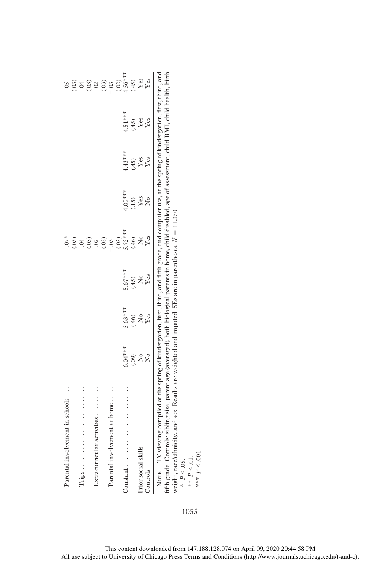| Parental involvement in schools                                                                                                                                                                                                                                                                                          |               |                 |                      | $.07*$          |               |         |         | 05             |
|--------------------------------------------------------------------------------------------------------------------------------------------------------------------------------------------------------------------------------------------------------------------------------------------------------------------------|---------------|-----------------|----------------------|-----------------|---------------|---------|---------|----------------|
|                                                                                                                                                                                                                                                                                                                          |               |                 |                      | (.03)           |               |         |         | (.03)          |
| Trips $\ldots \ldots \ldots$                                                                                                                                                                                                                                                                                             |               |                 |                      | $\ddot{\theta}$ |               |         |         | $\ddot{\circ}$ |
|                                                                                                                                                                                                                                                                                                                          |               |                 |                      | (.03)           |               |         |         | (.03)          |
| Extracurricular activities                                                                                                                                                                                                                                                                                               |               |                 |                      | $-0.02$         |               |         |         | $-0.02$        |
|                                                                                                                                                                                                                                                                                                                          |               |                 |                      | (.03)           |               |         |         | (.03)          |
| Parental involvement at home                                                                                                                                                                                                                                                                                             |               |                 |                      | $-.03$          |               |         |         | $-.03$         |
|                                                                                                                                                                                                                                                                                                                          |               |                 |                      | (20)            |               |         |         | (.02)          |
| Constant                                                                                                                                                                                                                                                                                                                 | 6.04 ***      | $5.63***$       | $5.67***$            | $5.72***$       | 4.09***       | 4.43*** | 4.51*** | $4.56***$      |
|                                                                                                                                                                                                                                                                                                                          |               | (94)            | (45)                 | (.46)           | $.15^{\circ}$ | (54)    | (45)    | (.45)          |
| Prior social skills                                                                                                                                                                                                                                                                                                      | $\tilde{z}$   | $\tilde{\rm z}$ | $\tilde{\mathbf{z}}$ | $\tilde{\rm z}$ | Yes           | Ves     | Yes     | Yes            |
| Controls                                                                                                                                                                                                                                                                                                                 | $\frac{1}{2}$ | Yes             | Yes                  | Yes             | ž             | Ves     | Yes     | $Y$ es         |
| NOTE.—TV viewing compiled at the spring of kindergarten, first, third, and fith grade, and computer use, at the spring of kindergarten, first, third, and<br>fifth grade. Controls: sibling size, parent age (averaged) both biological parents in home child disabled, age of assessment, child BML child health, birth |               |                 |                      |                 |               |         |         |                |

неанн, онгш fifth grade. Controls: sibling size, parent age (averaged), both biological parents in home, child disabled, age of assessment, child BMI, child health, birth icu, agc  $= 11,350.$ *N* weight, race/ethnicity, and sex. Results are weighted and imputed. SEs are in parentheses.

\*  $P < 0.05$ .<br>\*\*  $P < 0$  $P < 01.$ 

\*\*\*

 $P < 0.01$ .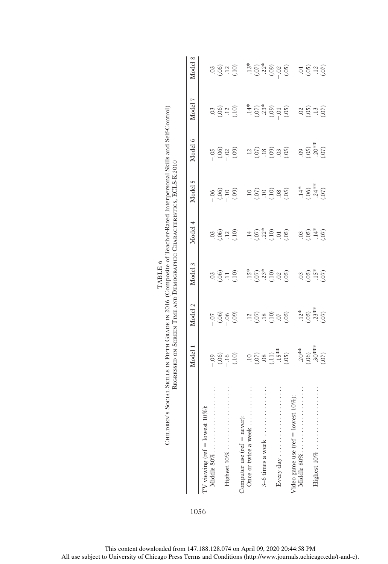| CHILDREN'S SOCIAL SKILLS IN FIFTH GRADE IN 2016 (Composite of Teacher-Rated Interpersonal Skills and Self-Control) | REGRESSED ON SCREEN TIME AND DEMOGRAPHIC CHARACTERISTICS, ECLS-K:2010 |                           | TABLE 6                                                         |                   |                     |                  |             |                        |
|--------------------------------------------------------------------------------------------------------------------|-----------------------------------------------------------------------|---------------------------|-----------------------------------------------------------------|-------------------|---------------------|------------------|-------------|------------------------|
|                                                                                                                    | Model 1                                                               | Model 2                   | Model 3                                                         | Model 4           | Model               | Model 6          | r,<br>Model | Model 8                |
| 10%):<br>$TV$ viewing (ref = lowest                                                                                |                                                                       |                           |                                                                 |                   |                     |                  |             |                        |
| Middle 80%                                                                                                         |                                                                       |                           | $\approx$                                                       | 03                |                     |                  | 03          | 03                     |
|                                                                                                                    |                                                                       | $-0.00 - 0.00 - 0.00$     | (06)                                                            | (.06)             | $-0.66$<br>$-1.06$  | 869<br>1969<br>1 |             |                        |
| Highest $10\%$                                                                                                     |                                                                       |                           |                                                                 |                   |                     |                  |             |                        |
|                                                                                                                    | (30, 30)                                                              | (.09)                     | (10)                                                            | (.10)             | (00)                | (00)             | (39.10)     | $(36)$<br>$(10)$       |
| Computer use (ref $=$ never):                                                                                      |                                                                       |                           |                                                                 |                   |                     |                  |             |                        |
| Once or twice a week.                                                                                              |                                                                       |                           | $.15*$                                                          | $\overline{14}$   | $\overline{10}$     |                  |             |                        |
|                                                                                                                    | $10,00$<br>$(0,1)$                                                    | $\frac{12}{10}$           | (0.07)                                                          |                   |                     | 2.58             |             | $.13*$<br>(.07)<br>22* |
| $3-6$ times a week                                                                                                 |                                                                       |                           | $.23*$                                                          |                   |                     |                  |             |                        |
|                                                                                                                    | $(.11)$<br>$.15**$                                                    | $(10)$<br>$(55)$          | $\left( \begin{smallmatrix} 10 \\ 02 \end{smallmatrix} \right)$ |                   |                     | (38, 36)         |             | (60)                   |
| Every day                                                                                                          |                                                                       |                           |                                                                 |                   |                     |                  |             | $-0.2$                 |
|                                                                                                                    | (.05)                                                                 |                           | (.05)                                                           | (.05)             | (.05)               |                  | (.05)       | (.05)                  |
| $0\%$<br>rest:<br>Video game use (ref $=$ $\log$                                                                   |                                                                       |                           |                                                                 |                   |                     |                  |             |                        |
| Middle 80%                                                                                                         | $.20***$                                                              |                           | .03                                                             | 03                | $14*$               | <b>eo</b> .      | 02          | $\overline{0}$         |
|                                                                                                                    | (.06)                                                                 | $.12**$<br>(.05)<br>.23** | $(.05)$<br>.15*                                                 | $(.05)$<br>$.14*$ | $(.06)$<br>$.24***$ | (.05)            | (.05)       | (.05)                  |
| $Higher 10\% \ldots \ldots$                                                                                        | $.30***$                                                              |                           |                                                                 |                   |                     | $.20***$         |             |                        |
|                                                                                                                    | (0.07)                                                                | (0.0)                     | (0.07)                                                          | (07)              | (07)                | (0.07)           | (07)        | (0.07)                 |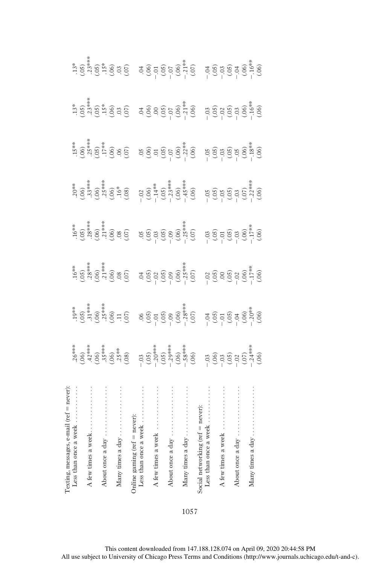| $=$ never)<br>Texting, messages, e-mail (      |  |  |                                                                                                                                                                                                                                                                                                                                                                                          |                                                                                                                                                                                                                                                                                                                                                                                                                                                                    |  |
|------------------------------------------------|--|--|------------------------------------------------------------------------------------------------------------------------------------------------------------------------------------------------------------------------------------------------------------------------------------------------------------------------------------------------------------------------------------------|--------------------------------------------------------------------------------------------------------------------------------------------------------------------------------------------------------------------------------------------------------------------------------------------------------------------------------------------------------------------------------------------------------------------------------------------------------------------|--|
| Less than once a week                          |  |  |                                                                                                                                                                                                                                                                                                                                                                                          |                                                                                                                                                                                                                                                                                                                                                                                                                                                                    |  |
|                                                |  |  |                                                                                                                                                                                                                                                                                                                                                                                          |                                                                                                                                                                                                                                                                                                                                                                                                                                                                    |  |
| A few times a week                             |  |  |                                                                                                                                                                                                                                                                                                                                                                                          |                                                                                                                                                                                                                                                                                                                                                                                                                                                                    |  |
|                                                |  |  |                                                                                                                                                                                                                                                                                                                                                                                          |                                                                                                                                                                                                                                                                                                                                                                                                                                                                    |  |
| About once a day                               |  |  |                                                                                                                                                                                                                                                                                                                                                                                          |                                                                                                                                                                                                                                                                                                                                                                                                                                                                    |  |
|                                                |  |  |                                                                                                                                                                                                                                                                                                                                                                                          |                                                                                                                                                                                                                                                                                                                                                                                                                                                                    |  |
| Many times a day                               |  |  |                                                                                                                                                                                                                                                                                                                                                                                          |                                                                                                                                                                                                                                                                                                                                                                                                                                                                    |  |
|                                                |  |  |                                                                                                                                                                                                                                                                                                                                                                                          |                                                                                                                                                                                                                                                                                                                                                                                                                                                                    |  |
| Online gaming $(\text{ref} = \text{never})$ :  |  |  |                                                                                                                                                                                                                                                                                                                                                                                          |                                                                                                                                                                                                                                                                                                                                                                                                                                                                    |  |
| Less than once a week                          |  |  |                                                                                                                                                                                                                                                                                                                                                                                          |                                                                                                                                                                                                                                                                                                                                                                                                                                                                    |  |
|                                                |  |  |                                                                                                                                                                                                                                                                                                                                                                                          |                                                                                                                                                                                                                                                                                                                                                                                                                                                                    |  |
| A few times a week                             |  |  |                                                                                                                                                                                                                                                                                                                                                                                          |                                                                                                                                                                                                                                                                                                                                                                                                                                                                    |  |
|                                                |  |  |                                                                                                                                                                                                                                                                                                                                                                                          |                                                                                                                                                                                                                                                                                                                                                                                                                                                                    |  |
| About once a day                               |  |  |                                                                                                                                                                                                                                                                                                                                                                                          |                                                                                                                                                                                                                                                                                                                                                                                                                                                                    |  |
|                                                |  |  |                                                                                                                                                                                                                                                                                                                                                                                          |                                                                                                                                                                                                                                                                                                                                                                                                                                                                    |  |
| Many times a day                               |  |  |                                                                                                                                                                                                                                                                                                                                                                                          |                                                                                                                                                                                                                                                                                                                                                                                                                                                                    |  |
|                                                |  |  |                                                                                                                                                                                                                                                                                                                                                                                          |                                                                                                                                                                                                                                                                                                                                                                                                                                                                    |  |
| ever):<br>Social networking $(\text{ref} = n)$ |  |  |                                                                                                                                                                                                                                                                                                                                                                                          |                                                                                                                                                                                                                                                                                                                                                                                                                                                                    |  |
| Less than once a week                          |  |  |                                                                                                                                                                                                                                                                                                                                                                                          |                                                                                                                                                                                                                                                                                                                                                                                                                                                                    |  |
|                                                |  |  |                                                                                                                                                                                                                                                                                                                                                                                          |                                                                                                                                                                                                                                                                                                                                                                                                                                                                    |  |
| A few times a week                             |  |  |                                                                                                                                                                                                                                                                                                                                                                                          |                                                                                                                                                                                                                                                                                                                                                                                                                                                                    |  |
|                                                |  |  |                                                                                                                                                                                                                                                                                                                                                                                          |                                                                                                                                                                                                                                                                                                                                                                                                                                                                    |  |
| About once a day                               |  |  |                                                                                                                                                                                                                                                                                                                                                                                          |                                                                                                                                                                                                                                                                                                                                                                                                                                                                    |  |
|                                                |  |  |                                                                                                                                                                                                                                                                                                                                                                                          |                                                                                                                                                                                                                                                                                                                                                                                                                                                                    |  |
| Many times a day $\dots$                       |  |  |                                                                                                                                                                                                                                                                                                                                                                                          |                                                                                                                                                                                                                                                                                                                                                                                                                                                                    |  |
|                                                |  |  | $\begin{array}{ccccccccc}\n\ddot{1} & \ddot{1} & \ddot{1} & \ddot{1} & \ddot{1} & \ddot{1} & \ddot{1} & \ddot{1} & \ddot{1} & \ddot{1} & \ddot{1} & \dddot{1} & \dddot{1} & \dddot{1} & \dddot{1} & \dddot{1} & \dddot{1} & \dddot{1} & \dddot{1} & \dddot{1} & \dddot{1} & \dddot{1} & \dddot{1} & \dddot{1} & \dddot{1} & \dddot{1} & \dddot{1} & \dddot{1} & \dddot{1} & \dddot{1} &$ | $\begin{array}{cccccc} \overset{*}{\mathbf{1}} & \overset{5}{\mathbf{1}} & \overset{5}{\mathbf{1}} & \overset{6}{\mathbf{1}} & \overset{6}{\mathbf{1}} & \overset{6}{\mathbf{1}} & \overset{6}{\mathbf{1}} & \overset{6}{\mathbf{1}} & \overset{6}{\mathbf{1}} & \overset{6}{\mathbf{1}} & \overset{6}{\mathbf{1}} & \overset{6}{\mathbf{1}} & \overset{6}{\mathbf{1}} & \overset{6}{\mathbf{1}} & \overset{6}{\mathbf{1}} & \overset{6}{\mathbf{1}} & \overset{6$ |  |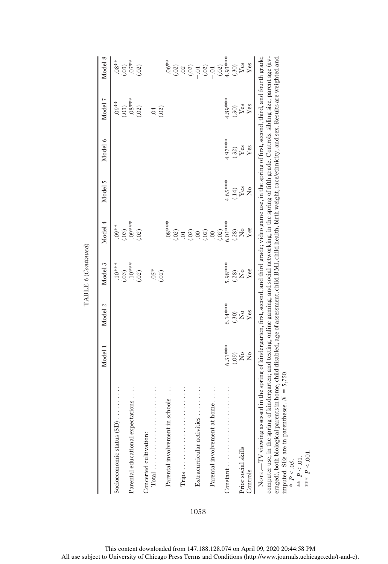|                                                                                                                                                                                                                                                                                                                                                                                                                                                                                                                                                                                                    | Model 1                                                     | Model 2                     | Model 3                                      | Model 4                                                | Model 5                        | Model 6             | Model 7                        | Model 8                                                                       |
|----------------------------------------------------------------------------------------------------------------------------------------------------------------------------------------------------------------------------------------------------------------------------------------------------------------------------------------------------------------------------------------------------------------------------------------------------------------------------------------------------------------------------------------------------------------------------------------------------|-------------------------------------------------------------|-----------------------------|----------------------------------------------|--------------------------------------------------------|--------------------------------|---------------------|--------------------------------|-------------------------------------------------------------------------------|
| Socioeconomic status (SD)                                                                                                                                                                                                                                                                                                                                                                                                                                                                                                                                                                          |                                                             |                             | $.10***$<br>(.03)                            | $.00*$<br>(.03)                                        |                                |                     | $.09**$<br>(.03)               | $.08**$                                                                       |
| Parental educational expectations                                                                                                                                                                                                                                                                                                                                                                                                                                                                                                                                                                  |                                                             |                             | $.10***$                                     | $.09***$                                               |                                |                     | $.08***$                       | $(0.3)$<br>$07**$<br>(02)                                                     |
| Concerted cultivation:                                                                                                                                                                                                                                                                                                                                                                                                                                                                                                                                                                             |                                                             |                             | $05*$<br>(.02)                               | (0.01)                                                 |                                |                     | (.02)<br>$\overline{0}$        |                                                                               |
| schools<br>Parental involvement in                                                                                                                                                                                                                                                                                                                                                                                                                                                                                                                                                                 |                                                             |                             | (0.02)                                       | $.08***$                                               |                                |                     | (.02)                          | $-06**$                                                                       |
| $T$ ing $\cdots \cdots \cdots$                                                                                                                                                                                                                                                                                                                                                                                                                                                                                                                                                                     |                                                             |                             |                                              | (.02)<br>$\overline{0}$ .                              |                                |                     |                                | (02)                                                                          |
| Extracurricular activities $\ldots \ldots$                                                                                                                                                                                                                                                                                                                                                                                                                                                                                                                                                         |                                                             |                             |                                              | (0.02)                                                 |                                |                     |                                | $(0.02)$<br>$-0.1$<br>$(0.02)$<br>$-0.1$<br>$(0.02)$<br>$(0.03)$<br>$4.93***$ |
| $home \ldots$<br>Parental involvement at                                                                                                                                                                                                                                                                                                                                                                                                                                                                                                                                                           |                                                             |                             |                                              | (.02)<br>00                                            |                                |                     |                                |                                                                               |
| $Constant \ldots \ldots$                                                                                                                                                                                                                                                                                                                                                                                                                                                                                                                                                                           | $6.31***$                                                   | 5.14***                     | $5.98***$                                    | 5.01 ***<br>(.02)                                      | 4.65***                        | $4.97***$           | $4.89***$                      |                                                                               |
| Prior social skills<br>Controls                                                                                                                                                                                                                                                                                                                                                                                                                                                                                                                                                                    | $\tilde{z}$<br>$\begin{matrix}\n 60 \\  0.0\n \end{matrix}$ | Yes<br>$\tilde{z}$<br>(.30) | $Y$ es<br>$\mathsf{S}^{\mathsf{o}}$<br>(.28) | $\stackrel{\circ}{\mathsf{Z}}$<br><b>Y</b> es<br>(.28) | Yes<br>$\mathring{z}$<br>(.14) | Yes<br>Yes<br>(.32) | $\mathbf{Yes}$<br>Yes<br>(.30) | Yes<br>Yes<br>(.30)                                                           |
| of kindergarten; and texting, online gaming, and social networking, in the spring of fifth grade. Controls: sibling size, parent age (av-<br>NOTE.—TV viewing assessed in the spring of kindergarten, first, second, and third grade; video game use, in the spring of first, second, third, and fourth grade;<br>eraged), both biological parents in home, child disabled, age of assessment, child BMI, child health, birth weight, race/ethnicity, and sex. Results are weighted and<br>imputed. SEs are in parentheses. $N = 5,750$ .<br>computer use, in the spring<br>$\approx$ $D - \alpha$ |                                                             |                             |                                              |                                                        |                                |                     |                                |                                                                               |

TABLE 6 (Continued) TABLE 6 (*Continued*)

1058

\*  $P < 0.05$ .<br>\*\*  $P < 0$  $P < 01.$ 

\*\*\*

 $P < 0.01$ .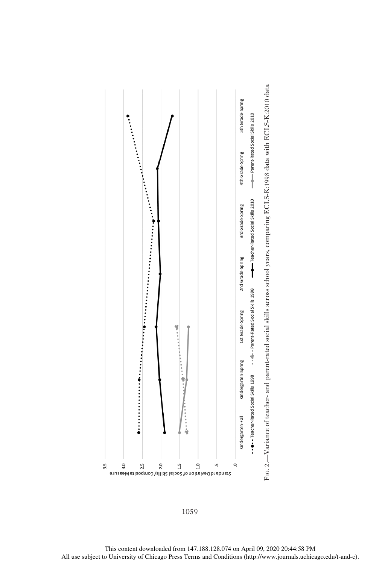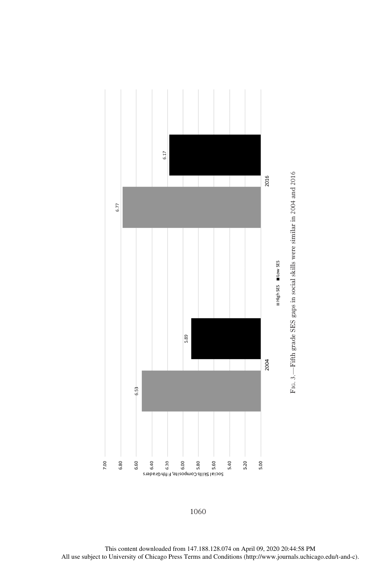

FIG. 3.—Fifth grade SES gaps in social skills were similar in 2004 and 2016 —Fifth grade SES gaps in social skills were similar in 2004 and 2016

1060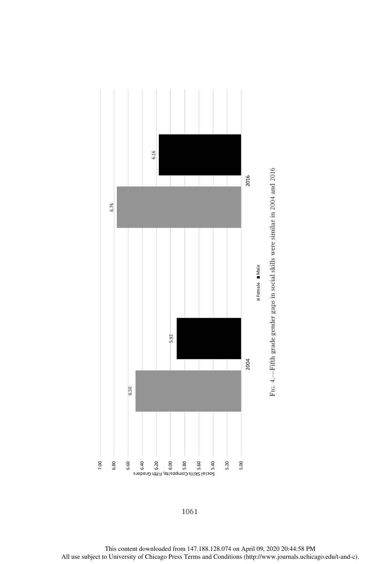

Fig. 4 —Fifth grade gender gaps in social skills were similar in 2004 and 2016 —Fifth grade gender gaps in social skills were similar in 2004 and 2016

1061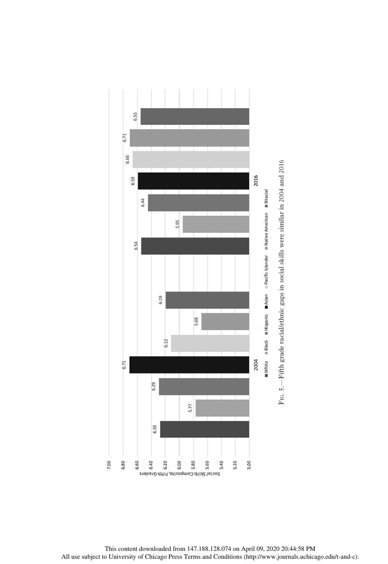

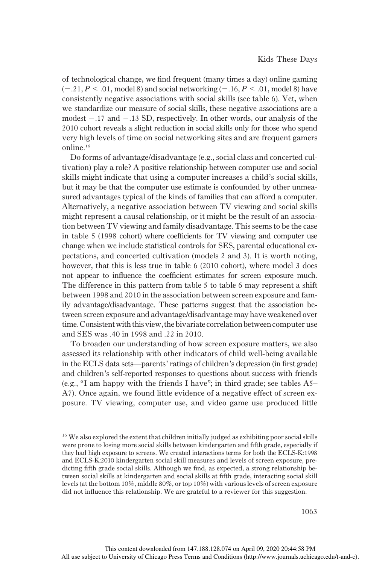of technological change, we find frequent (many times a day) online gaming  $(-.21, P \leq .01, \text{model } 8)$  and social networking  $(-.16, P \leq .01, \text{model } 8)$  have consistently negative associations with social skills (see table 6). Yet, when we standardize our measure of social skills, these negative associations are a modest  $-0.17$  and  $-0.13$  SD, respectively. In other words, our analysis of the 2010 cohort reveals a slight reduction in social skills only for those who spend very high levels of time on social networking sites and are frequent gamers online.<sup>16</sup>

Do forms of advantage/disadvantage (e.g., social class and concerted cultivation) play a role? A positive relationship between computer use and social skills might indicate that using a computer increases a child's social skills, but it may be that the computer use estimate is confounded by other unmeasured advantages typical of the kinds of families that can afford a computer. Alternatively, a negative association between TV viewing and social skills might represent a causal relationship, or it might be the result of an association between TV viewing and family disadvantage. This seems to be the case in table 5 (1998 cohort) where coefficients for TV viewing and computer use change when we include statistical controls for SES, parental educational expectations, and concerted cultivation (models 2 and 3). It is worth noting, however, that this is less true in table 6 (2010 cohort), where model 3 does not appear to influence the coefficient estimates for screen exposure much. The difference in this pattern from table 5 to table 6 may represent a shift between 1998 and 2010 in the association between screen exposure and family advantage/disadvantage. These patterns suggest that the association between screen exposure and advantage/disadvantage may have weakened over time. Consistent with this view, the bivariate correlation between computer use and SES was .40 in 1998 and .22 in 2010.

To broaden our understanding of how screen exposure matters, we also assessed its relationship with other indicators of child well-being available in the ECLS data sets—parents' ratings of children's depression (in first grade) and children's self-reported responses to questions about success with friends (e.g., "I am happy with the friends I have"; in third grade; see tables A5– A7). Once again, we found little evidence of a negative effect of screen exposure. TV viewing, computer use, and video game use produced little

<sup>&</sup>lt;sup>16</sup> We also explored the extent that children initially judged as exhibiting poor social skills were prone to losing more social skills between kindergarten and fifth grade, especially if they had high exposure to screens. We created interactions terms for both the ECLS-K:1998 and ECLS-K:2010 kindergarten social skill measures and levels of screen exposure, predicting fifth grade social skills. Although we find, as expected, a strong relationship between social skills at kindergarten and social skills at fifth grade, interacting social skill levels (at the bottom 10%, middle 80%, or top 10%) with various levels of screen exposure did not influence this relationship. We are grateful to a reviewer for this suggestion.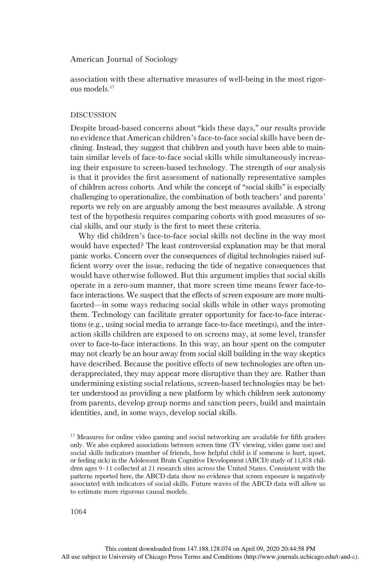association with these alternative measures of well-being in the most rigorous models.<sup>17</sup>

#### DISCUSSION

Despite broad-based concerns about "kids these days," our results provide no evidence that American children's face-to-face social skills have been declining. Instead, they suggest that children and youth have been able to maintain similar levels of face-to-face social skills while simultaneously increasing their exposure to screen-based technology. The strength of our analysis is that it provides the first assessment of nationally representative samples of children across cohorts. And while the concept of "social skills" is especially challenging to operationalize, the combination of both teachers' and parents' reports we rely on are arguably among the best measures available. A strong test of the hypothesis requires comparing cohorts with good measures of social skills, and our study is the first to meet these criteria.

Why did children's face-to-face social skills not decline in the way most would have expected? The least controversial explanation may be that moral panic works. Concern over the consequences of digital technologies raised sufficient worry over the issue, reducing the tide of negative consequences that would have otherwise followed. But this argument implies that social skills operate in a zero-sum manner, that more screen time means fewer face-toface interactions. We suspect that the effects of screen exposure are more multifaceted—in some ways reducing social skills while in other ways promoting them. Technology can facilitate greater opportunity for face-to-face interactions (e.g., using social media to arrange face-to-face meetings), and the interaction skills children are exposed to on screens may, at some level, transfer over to face-to-face interactions. In this way, an hour spent on the computer may not clearly be an hour away from social skill building in the way skeptics have described. Because the positive effects of new technologies are often underappreciated, they may appear more disruptive than they are. Rather than undermining existing social relations, screen-based technologies may be better understood as providing a new platform by which children seek autonomy from parents, develop group norms and sanction peers, build and maintain identities, and, in some ways, develop social skills.

<sup>&</sup>lt;sup>17</sup> Measures for online video gaming and social networking are available for fifth graders only. We also explored associations between screen time (TV viewing, video game use) and social skills indicators (number of friends, how helpful child is if someone is hurt, upset, or feeling sick) in the Adolescent Brain Cognitive Development (ABCD) study of 11,878 children ages 9–11 collected at 21 research sites across the United States. Consistent with the patterns reported here, the ABCD data show no evidence that screen exposure is negatively associated with indicators of social skills. Future waves of the ABCD data will allow us to estimate more rigorous causal models.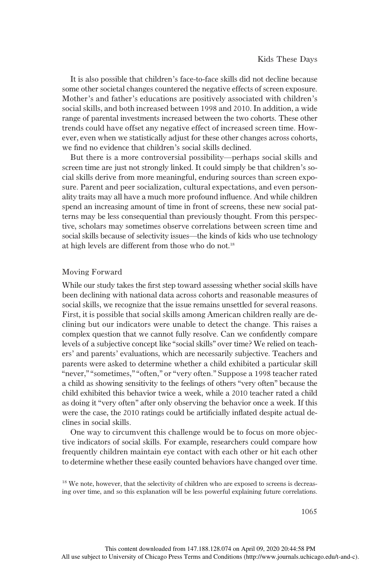It is also possible that children's face-to-face skills did not decline because some other societal changes countered the negative effects of screen exposure. Mother's and father's educations are positively associated with children's social skills, and both increased between 1998 and 2010. In addition, a wide range of parental investments increased between the two cohorts. These other trends could have offset any negative effect of increased screen time. However, even when we statistically adjust for these other changes across cohorts, we find no evidence that children's social skills declined.

But there is a more controversial possibility—perhaps social skills and screen time are just not strongly linked. It could simply be that children's social skills derive from more meaningful, enduring sources than screen exposure. Parent and peer socialization, cultural expectations, and even personality traits may all have a much more profound influence. And while children spend an increasing amount of time in front of screens, these new social patterns may be less consequential than previously thought. From this perspective, scholars may sometimes observe correlations between screen time and social skills because of selectivity issues—the kinds of kids who use technology at high levels are different from those who do not.<sup>18</sup>

#### Moving Forward

While our study takes the first step toward assessing whether social skills have been declining with national data across cohorts and reasonable measures of social skills, we recognize that the issue remains unsettled for several reasons. First, it is possible that social skills among American children really are declining but our indicators were unable to detect the change. This raises a complex question that we cannot fully resolve. Can we confidently compare levels of a subjective concept like "social skills" over time? We relied on teachers' and parents' evaluations, which are necessarily subjective. Teachers and parents were asked to determine whether a child exhibited a particular skill "never," "sometimes," "often," or "very often." Suppose a 1998 teacher rated a child as showing sensitivity to the feelings of others "very often" because the child exhibited this behavior twice a week, while a 2010 teacher rated a child as doing it "very often" after only observing the behavior once a week. If this were the case, the 2010 ratings could be artificially inflated despite actual declines in social skills.

One way to circumvent this challenge would be to focus on more objective indicators of social skills. For example, researchers could compare how frequently children maintain eye contact with each other or hit each other to determine whether these easily counted behaviors have changed over time.

<sup>&</sup>lt;sup>18</sup> We note, however, that the selectivity of children who are exposed to screens is decreasing over time, and so this explanation will be less powerful explaining future correlations.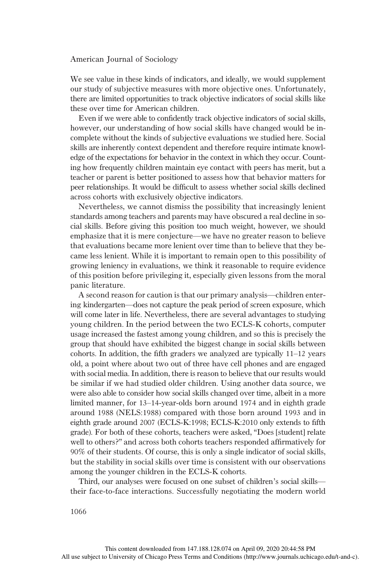We see value in these kinds of indicators, and ideally, we would supplement our study of subjective measures with more objective ones. Unfortunately, there are limited opportunities to track objective indicators of social skills like these over time for American children.

Even if we were able to confidently track objective indicators of social skills, however, our understanding of how social skills have changed would be incomplete without the kinds of subjective evaluations we studied here. Social skills are inherently context dependent and therefore require intimate knowledge of the expectations for behavior in the context in which they occur. Counting how frequently children maintain eye contact with peers has merit, but a teacher or parent is better positioned to assess how that behavior matters for peer relationships. It would be difficult to assess whether social skills declined across cohorts with exclusively objective indicators.

Nevertheless, we cannot dismiss the possibility that increasingly lenient standards among teachers and parents may have obscured a real decline in social skills. Before giving this position too much weight, however, we should emphasize that it is mere conjecture—we have no greater reason to believe that evaluations became more lenient over time than to believe that they became less lenient. While it is important to remain open to this possibility of growing leniency in evaluations, we think it reasonable to require evidence of this position before privileging it, especially given lessons from the moral panic literature.

A second reason for caution is that our primary analysis—children entering kindergarten—does not capture the peak period of screen exposure, which will come later in life. Nevertheless, there are several advantages to studying young children. In the period between the two ECLS-K cohorts, computer usage increased the fastest among young children, and so this is precisely the group that should have exhibited the biggest change in social skills between cohorts. In addition, the fifth graders we analyzed are typically 11–12 years old, a point where about two out of three have cell phones and are engaged with social media. In addition, there is reason to believe that our results would be similar if we had studied older children. Using another data source, we were also able to consider how social skills changed over time, albeit in a more limited manner, for 13–14-year-olds born around 1974 and in eighth grade around 1988 (NELS:1988) compared with those born around 1993 and in eighth grade around 2007 (ECLS-K:1998; ECLS-K:2010 only extends to fifth grade). For both of these cohorts, teachers were asked, "Does [student] relate well to others?" and across both cohorts teachers responded affirmatively for 90% of their students. Of course, this is only a single indicator of social skills, but the stability in social skills over time is consistent with our observations among the younger children in the ECLS-K cohorts.

Third, our analyses were focused on one subset of children's social skills their face-to-face interactions. Successfully negotiating the modern world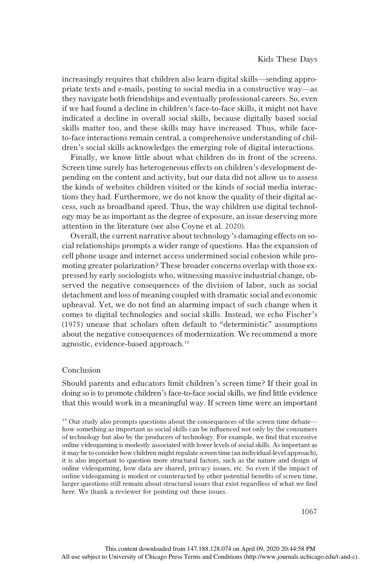increasingly requires that children also learn digital skills—sending appropriate texts and e-mails, posting to social media in a constructive way—as they navigate both friendships and eventually professional careers. So, even if we had found a decline in children's face-to-face skills, it might not have indicated a decline in overall social skills, because digitally based social skills matter too, and these skills may have increased. Thus, while faceto-face interactions remain central, a comprehensive understanding of children's social skills acknowledges the emerging role of digital interactions.

Finally, we know little about what children do in front of the screens. Screen time surely has heterogeneous effects on children's development depending on the content and activity, but our data did not allow us to assess the kinds of websites children visited or the kinds of social media interactions they had. Furthermore, we do not know the quality of their digital access, such as broadband speed. Thus, the way children use digital technology may be as important as the degree of exposure, an issue deserving more attention in the literature (see also Coyne et al. 2020).

Overall, the current narrative about technology's damaging effects on social relationships prompts a wider range of questions. Has the expansion of cell phone usage and internet access undermined social cohesion while promoting greater polarization? These broader concerns overlap with those expressed by early sociologists who, witnessing massive industrial change, observed the negative consequences of the division of labor, such as social detachment and loss of meaning coupled with dramatic social and economic upheaval. Yet, we do not find an alarming impact of such change when it comes to digital technologies and social skills. Instead, we echo Fischer's (1975) unease that scholars often default to "deterministic" assumptions about the negative consequences of modernization. We recommend a more agnostic, evidence-based approach.<sup>19</sup>

# Conclusion

Should parents and educators limit children's screen time? If their goal in doing so is to promote children's face-to-face social skills, we find little evidence that this would work in a meaningful way. If screen time were an important

<sup>&</sup>lt;sup>19</sup> Our study also prompts questions about the consequences of the screen time debate how something as important as social skills can be influenced not only by the consumers of technology but also by the producers of technology. For example, we find that excessive online videogaming is modestly associated with lower levels of social skills. As important as it may be to consider how children might regulate screen time (an individual-level approach), it is also important to question more structural factors, such as the nature and design of online videogaming, how data are shared, privacy issues, etc. So even if the impact of online videogaming is modest or counteracted by other potential benefits of screen time, larger questions still remain about structural issues that exist regardless of what we find here. We thank a reviewer for pointing out these issues.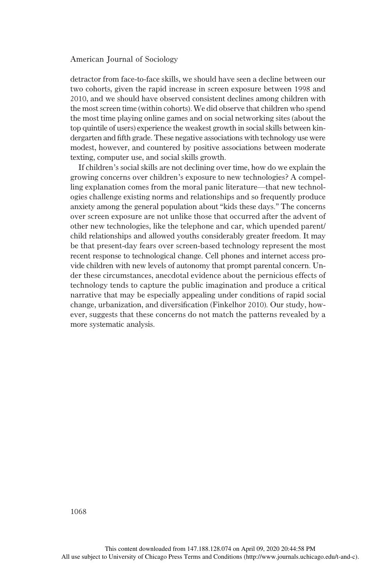detractor from face-to-face skills, we should have seen a decline between our two cohorts, given the rapid increase in screen exposure between 1998 and 2010, and we should have observed consistent declines among children with the most screen time (within cohorts).We did observe that children who spend the most time playing online games and on social networking sites (about the top quintile of users) experience the weakest growth in social skills between kindergarten and fifth grade. These negative associations with technology use were modest, however, and countered by positive associations between moderate texting, computer use, and social skills growth.

If children's social skills are not declining over time, how do we explain the growing concerns over children's exposure to new technologies? A compelling explanation comes from the moral panic literature—that new technologies challenge existing norms and relationships and so frequently produce anxiety among the general population about "kids these days." The concerns over screen exposure are not unlike those that occurred after the advent of other new technologies, like the telephone and car, which upended parent/ child relationships and allowed youths considerably greater freedom. It may be that present-day fears over screen-based technology represent the most recent response to technological change. Cell phones and internet access provide children with new levels of autonomy that prompt parental concern. Under these circumstances, anecdotal evidence about the pernicious effects of technology tends to capture the public imagination and produce a critical narrative that may be especially appealing under conditions of rapid social change, urbanization, and diversification (Finkelhor 2010). Our study, however, suggests that these concerns do not match the patterns revealed by a more systematic analysis.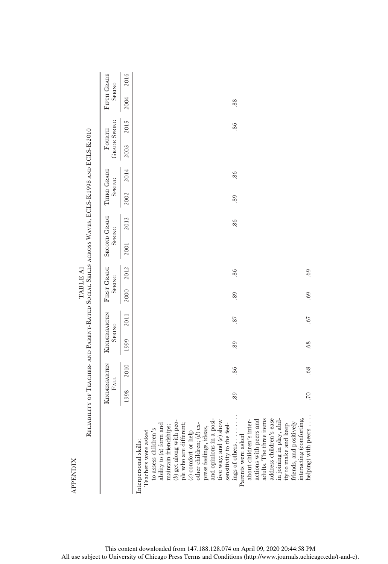|                                                                                                                                                                                                                                                                                                                                                                                                                                                                                                                                                            |      | <b>KINDERGARTEN</b><br><b>FALL</b> | SPRING | <b>KINDERGARTEN</b> | FIRST GRADE<br><b>SPRING</b> |      | <b>SECOND GRADE</b><br>SPRING |      |      | THIRD GRADE<br>SPRING | FOURTH | <b>GRADE SPRING</b> | FIFTH GRADE<br><b>SPRING</b> |      |
|------------------------------------------------------------------------------------------------------------------------------------------------------------------------------------------------------------------------------------------------------------------------------------------------------------------------------------------------------------------------------------------------------------------------------------------------------------------------------------------------------------------------------------------------------------|------|------------------------------------|--------|---------------------|------------------------------|------|-------------------------------|------|------|-----------------------|--------|---------------------|------------------------------|------|
|                                                                                                                                                                                                                                                                                                                                                                                                                                                                                                                                                            | 1998 | 2010                               | 1999   | 2011                | 2000                         | 2012 | 2001                          | 2013 | 2002 | 2014                  | 2003   | 2015                | 2004                         | 2016 |
| adults. The three items<br>and opinions in a posi-<br>actions with peers and<br>in joining in play, abil-<br>address children's ease<br>$(b)$ get along with peo-<br>about children's inter-<br>tive way; and $(e)$ show<br>ability to $(a)$ form and<br>other children; (d) ex-<br>ple who are different;<br>ity to make and keep<br>sensitivity to the feel-<br>maintain friendships;<br>press feelings, ideas,<br>to assess children's<br>Teachers were asked<br>$(c)$ comfort or help<br>ings of others<br>Parents were asked<br>Interpersonal skills: | 89   | 86                                 | .89    | .87                 | 89                           | 86   |                               | 86   | 89   | 86                    |        | 86                  | 88.                          |      |
| interacting (comforting,<br>helping) with peers<br>friends, and positively                                                                                                                                                                                                                                                                                                                                                                                                                                                                                 | 01   | .68                                | .68    | 59.                 | 69.                          | 69.  |                               |      |      |                       |        |                     |                              |      |

TABLE A1

APPENDIX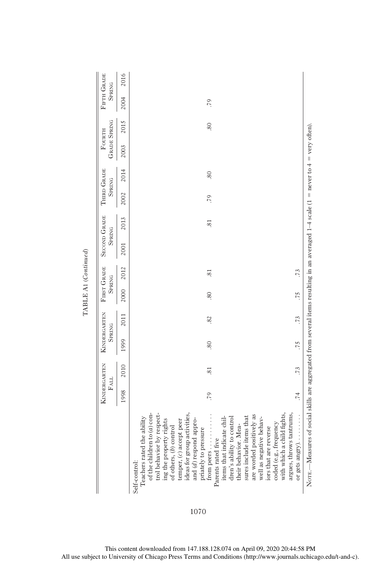| 2012<br>$\overline{81}$<br>2000<br>80<br>2011<br>.82<br>1999<br>80<br>2010<br>$\overline{81}$<br>1998<br>.79<br>of the children to $(a)$ con-<br>trol behavior by respect-<br>ideas for group activities,<br>are worded positively as<br>sures include items that<br>Teachers rated the ability<br>items that indicate chil-<br>dren's ability to control<br>well as negative behav-<br>ing the property rights<br>and (d) respond appro-<br>temper, (c) accept peer<br>their behavior. Mea-<br>of others, (b) control<br>iors that are reverse<br>priately to pressure<br>Parents rated five<br>from peers.<br>Self-control: | <b>SPRING</b><br><b>SPRING</b> | <b>SECOND GRADE</b><br><b>SPRING</b> | THIRD GRADE<br>SPRING | <b>GRADE SPRING</b><br>FOURTH | FIFTH GRADE<br><b>SPRING</b> |
|-------------------------------------------------------------------------------------------------------------------------------------------------------------------------------------------------------------------------------------------------------------------------------------------------------------------------------------------------------------------------------------------------------------------------------------------------------------------------------------------------------------------------------------------------------------------------------------------------------------------------------|--------------------------------|--------------------------------------|-----------------------|-------------------------------|------------------------------|
|                                                                                                                                                                                                                                                                                                                                                                                                                                                                                                                                                                                                                               | 2001                           | 2013                                 | 2014<br>2002          | 2015<br>2003                  | 2016<br>2004                 |
|                                                                                                                                                                                                                                                                                                                                                                                                                                                                                                                                                                                                                               |                                | $\overline{81}$                      | 80<br>.79             | 80                            | .79                          |
| .73<br>.75<br>.73<br>.75<br>.73<br>.74<br>with which a child fights,<br>argues, throws tantrums,<br>or gets angry).<br>coded (e.g., frequency                                                                                                                                                                                                                                                                                                                                                                                                                                                                                 |                                |                                      |                       |                               |                              |

 ${\rm TABLE \; A1 \; (Continued)}$ TABLE A1 (*Continued*)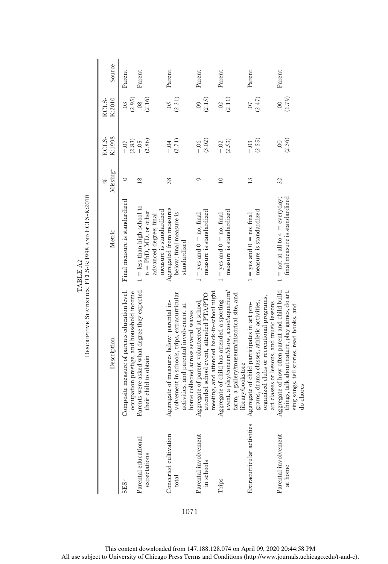|                                      | Description                                                                                                                                                                         | Metric                                                                                                         | Missing <sup>a</sup><br>olo | K:1998<br>ECLS-   | K:2010<br>ECLS-          | Source |
|--------------------------------------|-------------------------------------------------------------------------------------------------------------------------------------------------------------------------------------|----------------------------------------------------------------------------------------------------------------|-----------------------------|-------------------|--------------------------|--------|
| <b>SES</b> <sup>b</sup>              | Composite measure of parents education level,<br>occupation prestige, and household income                                                                                          | Final measure is standardized                                                                                  | 0                           | (2.83)<br>$-0.7$  | (2.95)<br>$\overline{0}$ | Parent |
| Parental educational<br>expectations | Parents were asked what degree they expected<br>their child to obtain                                                                                                               | $1 =$ less than high school to<br>measure is standardized<br>$6 = PhD, MD, or other$<br>advanced degree; final | $\frac{8}{2}$               | (2.86)<br>$-0.5$  | (2.16)<br>08             | Parent |
| Concerted cultivation<br>total       | volvement in schools, trips, extracurricular<br>Aggregate of measures below: parental in-<br>activities, and parental involvement at<br>home collected across several waves         | Aggregated from measures<br>below; final measure is<br>standardized                                            | 38                          | (2.71)<br>$-0.4$  | (2.31)<br>$\overline{0}$ | Parent |
| Parental involvement<br>in schools   | meeting, and attended back-to-school night<br>attended school event, attended PTA/PTO<br>Aggregate of parent volunteered at school.                                                 | measure is standardized<br>$1 = yes$ and $0 = no$ ; final                                                      | O                           | (3.02)<br>$-0.06$ | (2.15)<br>0.0            | Parent |
| Trips                                | event, a play/concert/show, a zoo/aquarium/<br>farm, a gallery/museum/historical site, and<br>Aggregate of child has attended a sporting<br>library/bookstore                       | measure is standardized<br>$=$ yes and $0 =$ no; final                                                         | $\supseteq$                 | (2.53)<br>$-.02$  | (2.11)<br>$\overline{0}$ | Parent |
| Extracurricular activities           | organized clubs or recreational programs,<br>grams, drama classes, athletic activities,<br>art classes or lessons, and music lessons<br>Aggregate of child participates in art pro- | measure is standardized<br>$1 = yes$ and $0 = no$ ; final                                                      | 13                          | (2.55)<br>$-.03$  | (2.47)<br>$50$ .         | Parent |
| Parental involvement<br>at home      | Aggregate of how often parent and child build<br>things, talk about nature, play games, do art,<br>sing songs, tell stories, read books, and<br>do chores                           | final measure is standardized<br>$1 = \text{not at all to } 4 = \text{everyday};$                              | 32                          | (2.36)<br>$\odot$ | (1.79)<br>$\overline{0}$ | Parent |

TABLE A2 Descriptive Statistics, ECLS-K:1998 and ECLS-K:2010

This content downloaded from 147.188.128.074 on April 09, 2020 20:44:58 PM All use subject to University of Chicago Press Terms and Conditions (http://www.journals.uchicago.edu/t-and-c).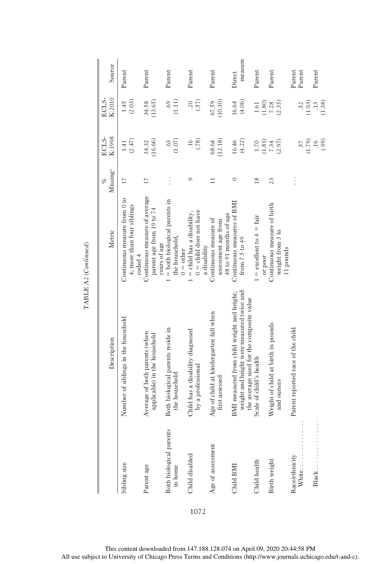|                                                     | Description                                                                                                                         | Metric                                                                    | Missing <sup>a</sup><br>se | K:1998<br>ECLS-              | K:2010<br>ECLS-            | Source            |
|-----------------------------------------------------|-------------------------------------------------------------------------------------------------------------------------------------|---------------------------------------------------------------------------|----------------------------|------------------------------|----------------------------|-------------------|
| Sibling size                                        | Number of siblings in the household                                                                                                 | Continuous measure from 0 to<br>4; more than four siblings<br>coded 4     | 17                         | $1.41$<br>(2.47)             | (2.03)<br>1.45             | Parent            |
| Parent age                                          | Average of both parents (when<br>applicable) in the household                                                                       | Continuous measure of average<br>parent age from 19 to 74<br>years of age | $\overline{17}$            | (16.66)<br>34.32             | (13.65)<br>34.58           | Parent            |
| Both biological parents<br>$\operatorname{in}$ home | Both biological parents reside in<br>the household                                                                                  | = both biological parents in<br>the household.<br>$0 = \text{other}$      |                            | (1.07)<br>.63                | 69.<br>(1.11)              | Parent            |
| Child disabled                                      | Child has a disability diagnosed<br>by a professional                                                                               | $0 = child$ does not have<br>$=$ child has a disability,<br>a disability  | $\circ$                    | (55)<br>.16                  | (57)<br>.20                | Parent            |
| Age of assessment                                   | Age of child at kindergarten fall when<br>first assessed                                                                            | 48 to 91 months of age<br>Continuous measure of<br>assessment age from    |                            | (12.18)<br>68.64             | (10.30)<br>67.59           | Parent            |
| Child BMI                                           | weight and height were measured twice and<br>BMI measured from child weight and height;<br>the average used for the composite value | Continuous measures of BMI<br>from 7.5 to 49                              | $\circ$                    | (4.22)<br>16.46              | (4.06)<br>16.64            | measure<br>Direct |
| Child health                                        | Scale of child's health                                                                                                             | $1 = \text{excellent to } 4 = \text{fair}$<br>or poor                     | 18                         | $1.70$<br>$(1.81)$<br>$7.34$ | $1.61\,$                   | Parent            |
| Birth weight                                        | Weight of child at birth in pounds<br>and ounces                                                                                    | Continuous measure of birth<br>weight from 3 to<br>11 pounds              | 23                         | (2.97)                       | $(1.80)$<br>7.28<br>(2.35) | Parent            |
| Race/ethnicity<br>White.                            | Parent reported race of the child                                                                                                   |                                                                           |                            | (1.79)<br>57                 | (1.93)<br>52               | Parent<br>Parent  |
| Black                                               |                                                                                                                                     |                                                                           |                            | (0.6)<br>.16                 | (1.38)<br>.13              | Parent            |

TABLE A2 (Continued) TABLE A2 (*Continued*)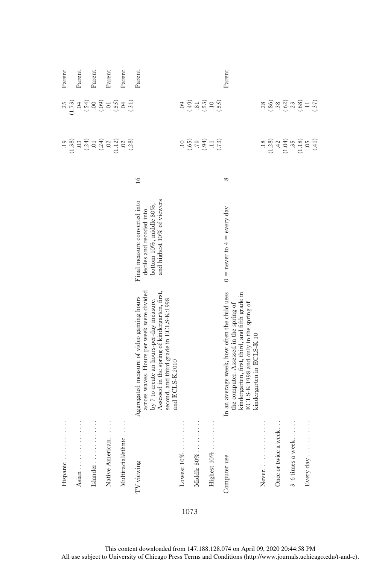| $\vdots$<br>Hispanic                |                                                                                                                                                                                                                                                  |                                                                                                                           |          | .19                                      | (1.73)                                                                                               | Parent |
|-------------------------------------|--------------------------------------------------------------------------------------------------------------------------------------------------------------------------------------------------------------------------------------------------|---------------------------------------------------------------------------------------------------------------------------|----------|------------------------------------------|------------------------------------------------------------------------------------------------------|--------|
| $\vdots$                            |                                                                                                                                                                                                                                                  |                                                                                                                           |          | (1.38)                                   |                                                                                                      | Parent |
| $\vdots$<br>$Islander \ldots $      |                                                                                                                                                                                                                                                  |                                                                                                                           |          |                                          |                                                                                                      | Parent |
| $\vdots$<br>Native American.        |                                                                                                                                                                                                                                                  |                                                                                                                           |          |                                          |                                                                                                      | Parent |
| $\vdots$<br>Multiracial/ethnic      |                                                                                                                                                                                                                                                  |                                                                                                                           |          |                                          | $\begin{array}{c}\n\ddot{a} & \ddot{a} \\ \ddot{a} & \ddot{a} \\ \ddot{a} & \ddot{a} \\ \end{array}$ | Parent |
| TV viewing                          | Assessed in the spring of kindergarten, first,<br>across waves. Hours per week were divided<br>Aggregated measure of video gaming hours<br>by 7 to create an hours-per-day measure.<br>second, and third grade in ECLS-K:1998<br>and ECLS-K:2010 | and highest 10% of viewers<br>Final measure converted into<br>bottom $10\%$ , middle $80\%$ ,<br>deciles and recoded into | 16       |                                          |                                                                                                      | Parent |
| $\vdots$<br>Lowest $10\%$           |                                                                                                                                                                                                                                                  |                                                                                                                           |          |                                          | 60                                                                                                   |        |
|                                     |                                                                                                                                                                                                                                                  |                                                                                                                           |          |                                          |                                                                                                      |        |
| $\vdots$<br>Middle 80%              |                                                                                                                                                                                                                                                  |                                                                                                                           |          |                                          |                                                                                                      |        |
| $\vdots$<br>Highest 10%             |                                                                                                                                                                                                                                                  |                                                                                                                           |          | $19.69$<br>$19.94$<br>$17.3$             | $(49)$<br>$(53)$<br>$(55)$<br>$(55)$                                                                 |        |
| Computer use                        | In an average week, how often the child uses<br>kindergarten, first, third, and fifth grade in<br>ECLS-K:1998 and only in the spring of<br>the computer. Assessed in the spring of<br>kindergarten in ECLS-K 10                                  | $0 =$ never to $4 =$ every day                                                                                            | $\infty$ |                                          |                                                                                                      | Parent |
| $\vdots$<br>Never.                  |                                                                                                                                                                                                                                                  |                                                                                                                           |          |                                          | .28                                                                                                  |        |
| Once or twice a week                |                                                                                                                                                                                                                                                  |                                                                                                                           |          | (1.28)                                   |                                                                                                      |        |
|                                     |                                                                                                                                                                                                                                                  |                                                                                                                           |          | $42$<br>$(1.04)$<br>$(1.18)$<br>$(1.18)$ |                                                                                                      |        |
| $\ddot{\cdot}$<br>3-6 times a week. |                                                                                                                                                                                                                                                  |                                                                                                                           |          |                                          |                                                                                                      |        |
| $\vdots$<br>Every day $\dots\dots$  |                                                                                                                                                                                                                                                  |                                                                                                                           |          | (14)                                     | $(36)$<br>$(38)$<br>$(33)$<br>$(38)$<br>$(15)$                                                       |        |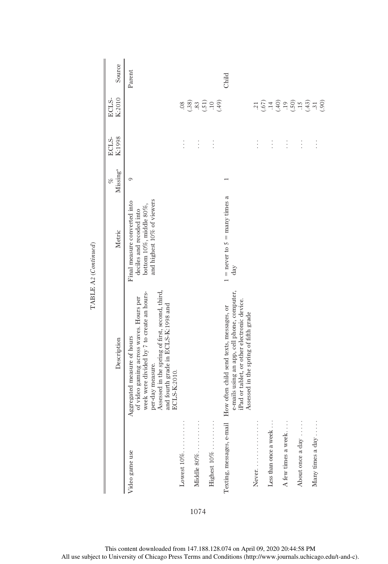|                           | Description                                                                                                                                                                                                                                        | Metric                                                                                                            | Missing <sup>a</sup><br>ol | K:1998<br>ECLS- | K:2010<br>ECLS-                                  | Source |
|---------------------------|----------------------------------------------------------------------------------------------------------------------------------------------------------------------------------------------------------------------------------------------------|-------------------------------------------------------------------------------------------------------------------|----------------------------|-----------------|--------------------------------------------------|--------|
| Video game use            | Assessed in the spring of first, second, third,<br>week were divided by 7 to create an hours-<br>of video gaming across waves. Hours per<br>and fourth grade in ECLS-K:1998 and<br>Aggregated measure of hours<br>per-day measure.<br>ECLS-K:2010. | and highest 10% of viewers<br>Final measure converted into<br>bottom 10%, middle 80%,<br>deciles and recoded into | $\circ$                    |                 |                                                  | Parent |
| Lowest $10\%$             |                                                                                                                                                                                                                                                    |                                                                                                                   |                            | $\vdots$        | 08                                               |        |
|                           |                                                                                                                                                                                                                                                    |                                                                                                                   |                            |                 |                                                  |        |
| Middle 80%                |                                                                                                                                                                                                                                                    |                                                                                                                   |                            | $\vdots$        |                                                  |        |
|                           |                                                                                                                                                                                                                                                    |                                                                                                                   |                            |                 | $(38)$<br>$(5)$<br>$(5)$<br>$(5)$                |        |
| $Higher 10\%$             |                                                                                                                                                                                                                                                    |                                                                                                                   |                            | $\vdots$        |                                                  |        |
|                           |                                                                                                                                                                                                                                                    |                                                                                                                   |                            |                 | (49)                                             |        |
| Texting, messages, e-mail | e-mails using an app, cell phone, computer,<br>iPad or tablet, or other electronic device.<br>How often child send texts, messages, or<br>Assessed in the spring of fifth grade                                                                    | $1 =$ never to $5 =$ many times a<br>day                                                                          |                            |                 |                                                  | Child  |
|                           |                                                                                                                                                                                                                                                    |                                                                                                                   |                            | $\vdots$        | 21                                               |        |
|                           |                                                                                                                                                                                                                                                    |                                                                                                                   |                            |                 |                                                  |        |
| Less than once a week     |                                                                                                                                                                                                                                                    |                                                                                                                   |                            | $\vdots$        |                                                  |        |
|                           |                                                                                                                                                                                                                                                    |                                                                                                                   |                            |                 |                                                  |        |
| A few times a week        |                                                                                                                                                                                                                                                    |                                                                                                                   |                            | $\vdots$        |                                                  |        |
|                           |                                                                                                                                                                                                                                                    |                                                                                                                   |                            |                 | $(51.40)$<br>$(51.40)$<br>$(51.50)$<br>$(51.50)$ |        |
| About once a day          |                                                                                                                                                                                                                                                    |                                                                                                                   |                            | $\vdots$        |                                                  |        |
| Many times a day          |                                                                                                                                                                                                                                                    |                                                                                                                   |                            | $\vdots$        | (.43)<br>(90)                                    |        |

TABLE A2 (Continued) TABLE A2 (*Continued*)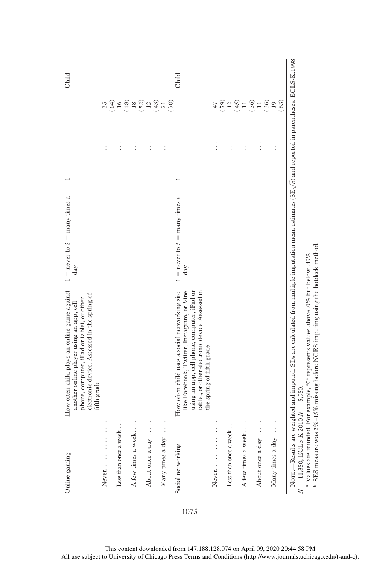| Child                                                                                                                                                                                                | 33       | (0.64) |                       | $(48)$<br>$(52)$<br>$(52)$ |                  | (.43) | (01)             | Child                                                                                                                                                                                                                      | 47       |                       | $(32)$<br>$(45)$<br>$(11)$ |                    | (.36)            | $(.36)$<br>$.19$ |                  | (.63)                                                                                                                                                          |
|------------------------------------------------------------------------------------------------------------------------------------------------------------------------------------------------------|----------|--------|-----------------------|----------------------------|------------------|-------|------------------|----------------------------------------------------------------------------------------------------------------------------------------------------------------------------------------------------------------------------|----------|-----------------------|----------------------------|--------------------|------------------|------------------|------------------|----------------------------------------------------------------------------------------------------------------------------------------------------------------|
|                                                                                                                                                                                                      | $\vdots$ |        | $\vdots$              | $\vdots$                   | $\vdots$         |       | $\vdots$         |                                                                                                                                                                                                                            | $\vdots$ | $\vdots$              |                            | $\vdots$           | $\vdots$         |                  | $\vdots$         |                                                                                                                                                                |
|                                                                                                                                                                                                      |          |        |                       |                            |                  |       |                  |                                                                                                                                                                                                                            |          |                       |                            |                    |                  |                  |                  |                                                                                                                                                                |
| $1 =$ never to $5 =$ many times a<br>day                                                                                                                                                             |          |        |                       |                            |                  |       |                  | $1 =$ never to $5 =$ many times a<br>day                                                                                                                                                                                   |          |                       |                            |                    |                  |                  |                  |                                                                                                                                                                |
| How often child plays an online game against<br>electronic device. Assessed in the spring of<br>phone, computer, iPad or tablet, or other<br>another online player using an app, cell<br>fifth grade |          |        |                       |                            |                  |       |                  | using an app, cell phone, computer, iPad or<br>How often child uses a social networking site<br>like Facebook, Twitter, Instagram, or Vine<br>tablet, or other electronic device. Assessed in<br>the spring of fifth grade |          |                       |                            |                    |                  |                  |                  | Nore: – Results are weighted and imputed. SDs are calculated from multiple imputation mean estimates (SE $\sqrt{n}$ ) and reported in parentheses. ECLS-K:1998 |
| Online gaming                                                                                                                                                                                        | Never    |        | Less than once a week | A few times a week         | About once a day |       | Many times a day | Social networking                                                                                                                                                                                                          | Never.   | Less than once a week |                            | A few times a week | About once a day |                  | Many times a day |                                                                                                                                                                |

 $N = 11,350;$  ECLS-K:2010  $N = 5,950$ .  $N = 11,350; \text{ ECLS-K:} 2010 N = 5,950.$ 

 $\degree$  Values are rounded. For example,  $\degree$ 0" represents values above .0% but below .49%

abSES measure was 2%–15% missing before NCES imputing using the hotdeck method.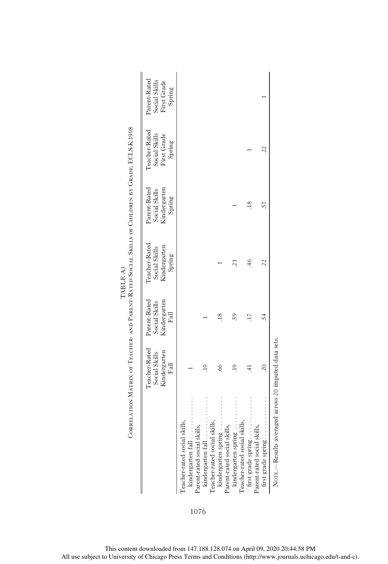|                                                     | Teacher-Rated<br>Social Skills | Parent-Rated<br>Social Skills | Teacher-Rated<br>Social Skills | Parent-Rated<br>Social Skills | Teacher-Rated<br>Social Skills | Parent-Rated<br>Social Skills |
|-----------------------------------------------------|--------------------------------|-------------------------------|--------------------------------|-------------------------------|--------------------------------|-------------------------------|
|                                                     | Kindergarten<br>Fall           | Kindergarten<br>Fall          | Kindergarten<br>Spring         | Kindergarten<br>Spring        | First Grade<br>Spring          | First Grade<br>Spring         |
| skills,<br>Teacher-rated social                     |                                |                               |                                |                               |                                |                               |
| kindergarten fall                                   |                                |                               |                                |                               |                                |                               |
| Parent-rated social skills,                         |                                |                               |                                |                               |                                |                               |
| kindergarten fall.                                  |                                |                               |                                |                               |                                |                               |
| skills,<br>Teacher-rated social                     |                                |                               |                                |                               |                                |                               |
| kindergarten spring                                 | 66                             | $\frac{8}{10}$                |                                |                               |                                |                               |
| Parent-rated social skills,                         |                                |                               |                                |                               |                                |                               |
| kindergarten spring                                 |                                | 59                            | .21                            |                               |                                |                               |
| skills,<br>Teacher-rated social                     |                                |                               |                                |                               |                                |                               |
| first grade spring.                                 |                                |                               | $\frac{46}{5}$                 | $\frac{8}{18}$                |                                |                               |
| Parent-rated social skills,                         |                                |                               |                                |                               |                                |                               |
| first grade spring                                  | $\tilde{c}$                    |                               | .22                            | 57                            | 22                             |                               |
| NOTE.-Results averaged across 20 imputed data sets. |                                |                               |                                |                               |                                |                               |

TABLE A3<br>Correlation Matrix of Teacher- and Parent-Rated Social Skills of Children by Grade, ECLS-K:1998 Correlation Matrix of Teacher- and Parent-Rated Social Skills of Children by Grade, ECLS-K:1998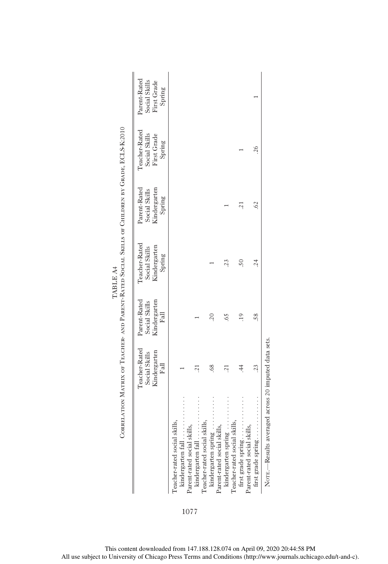|                                                     | Teacher-Rated<br>Social Skills | Parent-Rated<br>Social Skills | Teacher-Rated<br>Social Skills | Parent-Rated<br>Social Skills | Teacher-Rated<br>Social Skills | Parent-Rated<br>Social Skills |
|-----------------------------------------------------|--------------------------------|-------------------------------|--------------------------------|-------------------------------|--------------------------------|-------------------------------|
|                                                     | Kindergarten<br>Fall           | Kindergarten<br>Fall          | Kindergarten<br>Spring         | Kindergarten<br>Spring        | First Grade<br>Spring          | First Grade<br>Spring         |
| Teacher-rated social skills,                        |                                |                               |                                |                               |                                |                               |
| kindergarten fall                                   |                                |                               |                                |                               |                                |                               |
| Parent-rated social skills,                         |                                |                               |                                |                               |                                |                               |
| kindergarten fall                                   |                                |                               |                                |                               |                                |                               |
| Teacher-rated social skills,                        |                                |                               |                                |                               |                                |                               |
| kindergarten spring.                                | 68                             | 20                            |                                |                               |                                |                               |
| Parent-rated social skills,                         |                                |                               |                                |                               |                                |                               |
| kindergarten spring                                 | 2                              | 65                            | .23                            |                               |                                |                               |
| Teacher-rated social skills,                        |                                |                               |                                |                               |                                |                               |
| first grade spring                                  | $\ddot{4}$                     | $\frac{1}{2}$                 | 50                             |                               |                                |                               |
| Parent-rated social skills,                         |                                |                               |                                |                               |                                |                               |
| first grade spring                                  | 23                             | 58                            | 24                             | S                             | 26                             |                               |
| NOTE.—Results averaged across 20 imputed data sets. |                                |                               |                                |                               |                                |                               |

TABLE A4<br>Correlation Matrix of Teacher- and Parent-Rated Social Skills of Children by Grade, ECLS-K:2010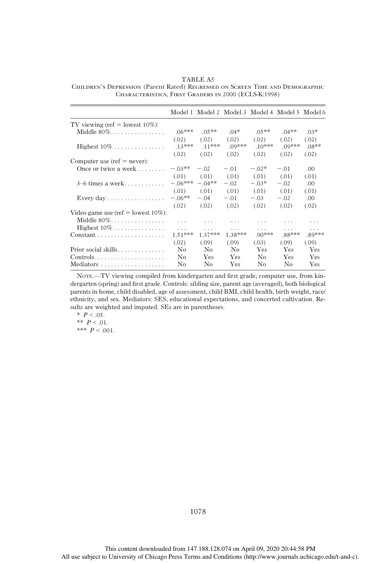|                                                       |                 |                | Model 1 Model 2 Model 3 Model 4 Model 5 Model 6 |            |            |          |
|-------------------------------------------------------|-----------------|----------------|-------------------------------------------------|------------|------------|----------|
| TV viewing (ref = lowest $10\%$ ):                    |                 |                |                                                 |            |            |          |
|                                                       | $.06***$        | $.05**$        | $.04*$                                          | $.05**$    | $.04**$    | $.03*$   |
|                                                       | (.02)           | (.02)          | (.02)                                           | (.02)      | (.02)      | (.02)    |
|                                                       | $.13***$        | $.11***$       | $.09***$                                        | $.10***$   | $.09***$   | $.08**$  |
|                                                       | (.02)           | (.02)          | (.02)                                           | (.02)      | (.02)      | (.02)    |
| Computer use (ref $=$ never):                         |                 |                |                                                 |            |            |          |
| Once or twice a week $\dots\dots$                     | $-.03**$        | $-.02$         | $-.01$                                          | $-.02*$    | $-.01$     | .00      |
|                                                       | (.01)           | (.01)          | (.01)                                           | (.01)      | (.01)      | (.01)    |
| $3-6$ times a week                                    | $-.06***-.04**$ |                | $-.02$                                          | $-.03*$    | $-.02$     | .00      |
|                                                       | (.01)           | (.01)          | (.01)                                           | (.01)      | (.01)      | (.01)    |
| Every day $\dots\dots\dots\dots\dots\dots$            | $-.06**$        | $-.04$         | $-.01$                                          | $-.03$     | $-.02$     | .00      |
|                                                       | (.02)           | (.02)          | (.02)                                           | (.02)      | (.02)      | (.02)    |
| Video game use (ref = lowest $10\%$ ):                |                 |                |                                                 |            |            |          |
| Middle $80\%$                                         | $\cdots$        | $\cdots$       | $\cdots$                                        | $\cdots$   |            | $\cdots$ |
| Highest $10\%$                                        | $\ldots$        | $\cdots$       | $\cdots$                                        | $\cdots$   | $\cdots$   | .        |
| $Constant \ldots \ldots \ldots \ldots \ldots \ldots$  | $1.51***$       | $1.37***$      | $1.38***$                                       | $.90***$   | .88***     | .89***   |
|                                                       | (.02)           | (.09)          | (.09)                                           | (.03)      | (.09)      | (.09)    |
| Prior social skills                                   | $\rm No$        | N <sub>0</sub> | N <sub>0</sub>                                  | <b>Yes</b> | <b>Yes</b> | Yes      |
| $Contents. \ldots \ldots \ldots \ldots \ldots \ldots$ | No.             | <b>Yes</b>     | <b>Yes</b>                                      | No.        | <b>Yes</b> | Yes      |
| Mediators                                             | No              | N <sub>0</sub> | Yes                                             | $\rm No$   | $\rm No$   | Yes      |

TABLE A5 Children's Depression (Parent Rated) Regressed on Screen Time and Demographic Characteristics, First Graders in 2000 (ECLS-K:1998)

NOTE.—TV viewing compiled from kindergarten and first grade; computer use, from kindergarten (spring) and first grade. Controls: sibling size, parent age (averaged), both biological parents in home, child disabled, age of assessment, child BMI, child health, birth weight, race/ ethnicity, and sex. Mediators: SES, educational expectations, and concerted cultivation. Results are weighted and imputed. SEs are in parentheses.

 $*$   $P < .05$ . \*\*  $P < 0.01$ . \*\*\* *P* < .001.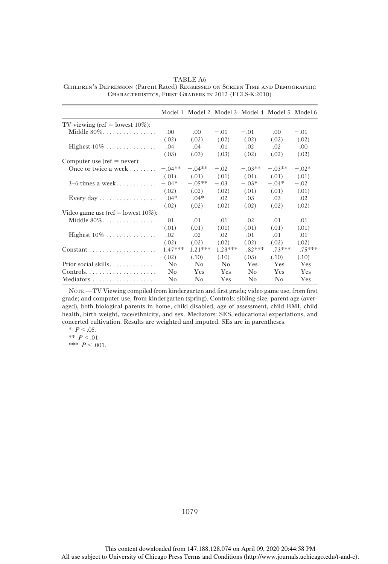|                                                      |           |           |                | Model 1 Model 2 Model 3 Model 4 Model 5 Model 6 |                |          |
|------------------------------------------------------|-----------|-----------|----------------|-------------------------------------------------|----------------|----------|
| TV viewing (ref = lowest $10\%$ ):                   |           |           |                |                                                 |                |          |
|                                                      | .00       | .00       | $-.01$         | $-.01$                                          | .00            | $-.01$   |
|                                                      | (.02)     | (.02)     | (.02)          | (.02)                                           | (.02)          | (.02)    |
| Highest $10\%$                                       | .04       | .04       | .01            | .02                                             | .02            | .00      |
|                                                      | (.03)     | (.03)     | (.03)          | (.02)                                           | (.02)          | (.02)    |
| Computer use (ref $=$ never):                        |           |           |                |                                                 |                |          |
| Once or twice a week                                 | $-.04**$  | $-.04**$  | $-.02$         | $-.03**$                                        | $-.03**$       | $-.02*$  |
|                                                      | (.01)     | (.01)     | (.01)          | (.01)                                           | (.01)          | (.01)    |
| $3-6$ times a week                                   | $-.04*$   | $-.05**$  | $-.03$         | $-.03*$                                         | $-.04*$        | $-.02$   |
|                                                      | (.02)     | (.02)     | (.02)          | (.01)                                           | (.01)          | (.01)    |
| Every day $\dots \dots \dots \dots \dots$            | $-.04*$   | $-.04*$   | $-.02$         | $-.03$                                          | $-.03$         | $-.02$   |
|                                                      | (.02)     | (.02)     | (.02)          | (.02)                                           | (.02)          | (.02)    |
| Video game use (ref = lowest $10\%$ ):               |           |           |                |                                                 |                |          |
|                                                      | .01       | .01       | .01            | .02                                             | .01            | .01      |
|                                                      | (.01)     | (.01)     | (.01)          | (.01)                                           | (.01)          | (.01)    |
| Highest $10\%$                                       | .02       | .02       | .02            | .01                                             | .01            | .01      |
|                                                      | (.02)     | (.02)     | (.02)          | (.02)                                           | (.02)          | (.02)    |
| $Constant \dots \dots \dots \dots \dots \dots \dots$ | $1.47***$ | $1.21***$ | $123***$       | $.82***$                                        | 73***          | $.75***$ |
|                                                      | (.02)     | (.10)     | (.10)          | (.03)                                           | (.10)          | (.10)    |
|                                                      | $\rm No$  | $\rm No$  | N <sub>0</sub> | Yes                                             | Yes            | Yes      |
| $Contents. \ldots. \ldots. \ldots. \ldots.$          | $\rm No$  | Yes       | Yes            | N <sub>0</sub>                                  | Yes            | Yes      |
|                                                      | No        | $\rm No$  | Yes            | N <sub>0</sub>                                  | N <sub>0</sub> | Yes      |

TABLE A6 Children's Depression (Parent Rated) Regressed on Screen Time and Demographic Characteristics, First Graders in 2012 (ECLS-K:2010)

NOTE.—TV Viewing compiled from kindergarten and first grade; video game use, from first grade; and computer use, from kindergarten (spring). Controls: sibling size, parent age (averaged), both biological parents in home, child disabled, age of assessment, child BMI, child health, birth weight, race/ethnicity, and sex. Mediators: SES, educational expectations, and concerted cultivation. Results are weighted and imputed. SEs are in parentheses.

 $*$   $P < .05$ . \*\* *P* < .01. \*\*\* *P* < .001.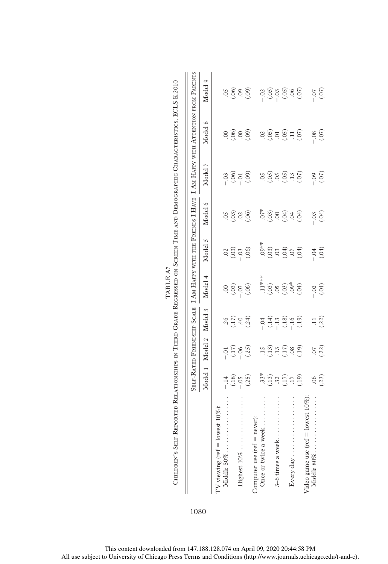| CHILDREN'S SELIF-REPORTED RELATIONSHIPS IN THIRD GRADE REGRESSED ON SCREEN TIME AND DEMOGRAPHIC CHARACTERISTICS, ECLS-K2010 |                                                  |                 |                |          |                |                                                                  |                 |                                        |               |
|-----------------------------------------------------------------------------------------------------------------------------|--------------------------------------------------|-----------------|----------------|----------|----------------|------------------------------------------------------------------|-----------------|----------------------------------------|---------------|
|                                                                                                                             |                                                  |                 |                |          |                | SELF-RATED FRIENDSHIP SCALE I AM HAPPY WITH THE FRIENDS I HAVE I |                 | I AM HAPPY WITH ATTENTION FROM PARENTS |               |
|                                                                                                                             |                                                  | Model 1 Model 2 | Model 3        | Model 4  | Model 5        | Model 6                                                          | Model 7         | $\infty$<br>Model                      | Model 9       |
| TV viewing (ref = $lowest 10\%$ )                                                                                           |                                                  |                 |                |          |                |                                                                  |                 |                                        |               |
| Middle 80%                                                                                                                  | $-14$                                            | $-0.1$          | .26            | $\odot$  | $\overline{0}$ | $\overline{0}$                                                   | $-.03$          | $\circ$                                | $\frac{5}{2}$ |
|                                                                                                                             | (.18)                                            | (17)            | (17)           | (.03)    | $(-03)$        | (3)                                                              | (.06)           | (.06)                                  | (00, 0)       |
| Highest 10%.                                                                                                                | $-0.5$                                           | $-0.06$         |                | $-0.07$  |                |                                                                  | $-0.01$         | 00                                     |               |
|                                                                                                                             | (.25)                                            | (25)            | (24)           | (.06)    | (.06)          | (06)                                                             | (00)            | (00)                                   | (60)          |
| Computer use $(\text{ref} = \text{never})$ :                                                                                |                                                  |                 |                |          |                |                                                                  |                 |                                        |               |
| Once or twice a week                                                                                                        | $.33*$                                           | $\frac{15}{1}$  | $-0.4$         | $.11***$ | $**60.$        | $.07*$                                                           | $\overline{5}$  | 02                                     | $-0.2$        |
|                                                                                                                             | (.13)                                            | (13)            | $(14)$<br>- 13 | (03)     | (03)           | (3)                                                              | $\widetilde{S}$ | (35)                                   | $(-0.5)$      |
| 3-6 times a week.                                                                                                           |                                                  | .13             |                |          |                |                                                                  |                 |                                        |               |
|                                                                                                                             | $(\begin{smallmatrix}1&7\\1&7\end{smallmatrix})$ | (17)            | (.18)          | (.03)    | (40)           | $\widetilde{f}$ of                                               | (.05)           | $(05)$<br>.11                          | (0.65)        |
| Every day                                                                                                                   |                                                  | $\overline{0}$  | $-16$          | $09*$    |                |                                                                  | .13             |                                        |               |
|                                                                                                                             | (.19)                                            | (61.            | (19)           | (64)     | (0.4)          | (4)                                                              | (0,0)           | (07)                                   | (0.07)        |
| Video game use (ref = $l$ owest $10\%$ )                                                                                    |                                                  |                 |                |          |                |                                                                  |                 |                                        |               |
| Middle 80%                                                                                                                  | 06                                               | 70.             | $\Xi$          | $-0.02$  | $-0.4$         | $-.03$                                                           | $-0.09$         | $-0.8$                                 | $-0.7$        |
|                                                                                                                             | (.23)                                            | (.22)           | (.22)          | (0.04)   | (50)           | (50)                                                             | (0, 0)          | (50)                                   | (0.07)        |

TABLE A7

1080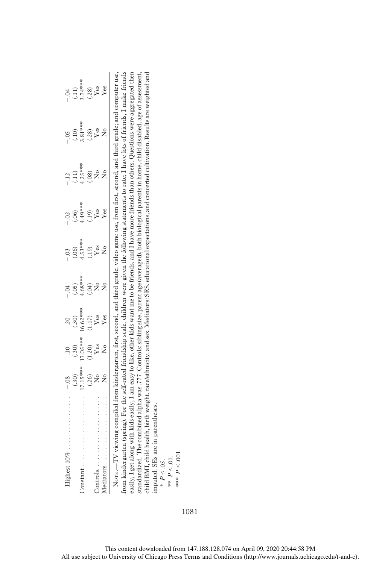| $Highered 10\%$                                                                                                                                                                                                                                                                                                                                                                                                                                                                                                                                                                                                                                                                                                                                                                                                          |         |                       |       |           |           |             |          |            |                          |
|--------------------------------------------------------------------------------------------------------------------------------------------------------------------------------------------------------------------------------------------------------------------------------------------------------------------------------------------------------------------------------------------------------------------------------------------------------------------------------------------------------------------------------------------------------------------------------------------------------------------------------------------------------------------------------------------------------------------------------------------------------------------------------------------------------------------------|---------|-----------------------|-------|-----------|-----------|-------------|----------|------------|--------------------------|
|                                                                                                                                                                                                                                                                                                                                                                                                                                                                                                                                                                                                                                                                                                                                                                                                                          |         |                       |       |           |           |             |          |            |                          |
| Constant                                                                                                                                                                                                                                                                                                                                                                                                                                                                                                                                                                                                                                                                                                                                                                                                                 | 7.15*** | $17.05***$ $16.62***$ |       | $4.68***$ | $4.53***$ | $49***$     | $.25***$ | $,81***$   | $.74***$                 |
|                                                                                                                                                                                                                                                                                                                                                                                                                                                                                                                                                                                                                                                                                                                                                                                                                          |         | 1.20)                 | 1.17) |           |           |             |          |            |                          |
| Controls                                                                                                                                                                                                                                                                                                                                                                                                                                                                                                                                                                                                                                                                                                                                                                                                                 |         | <b>Yes</b>            | Yes   |           | Zes.      | <b>Y</b> es | ż        | <b>Ves</b> | $\frac{28}{Y}$ es<br>Yes |
| <i><b>Aediators</b></i>                                                                                                                                                                                                                                                                                                                                                                                                                                                                                                                                                                                                                                                                                                                                                                                                  |         |                       | Yes   |           |           |             |          |            |                          |
| child BMI, child health, birth weight, race/ethnicity, and sex. Mediators: SES, educational expectations, and concerted cultivation. Results are weighted and<br>easily, I get along with kids easily, I am easy to like, other kids want me to be friends, and I have more friends than others. Questions were aggregated then<br>from kindergarten (spring). For the self-rated friendship scale, children were given the following statements to rate: I have lots of friends, I make friends<br>NOTE.—TV viewing compiled from kindergarten, first, second, and third grade; video game use, from first, second, and third grade; and computer use,<br>standardized. The combined alpha was .777. Controls: sibling size, parent age (averaged), both biological parents in home, child disabled, age of assessment, |         |                       |       |           |           |             |          |            |                          |

child BMI, child health, birth weight, race/ethnicity, and sex. Mediators: SES, educational expectations, and concerted cultivation. Results are weighted and

imputed. SEs are in parentheses.

\* *P* < .05. \*\*

1081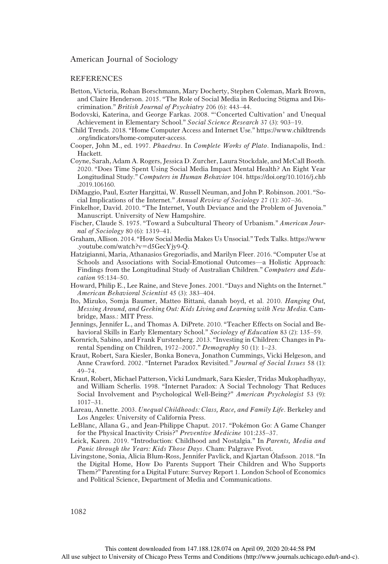#### REFERENCES

- Betton, Victoria, Rohan Borschmann, Mary Docherty, Stephen Coleman, Mark Brown, and Claire Henderson. 2015. "The Role of Social Media in Reducing Stigma and Discrimination." *British Journal of Psychiatry* 206 (6): 443–44.
- Bodovski, Katerina, and George Farkas. 2008. "'Concerted Cultivation' and Unequal Achievement in Elementary School." *Social Science Research* 37 (3): 903–19.
- Child Trends. 2018. "Home Computer Access and Internet Use." https://www.childtrends .org/indicators/home-computer-access.
- Cooper, John M., ed. 1997. *Phaedrus*. In *Complete Works of Plato*. Indianapolis, Ind.: Hackett.
- Coyne, Sarah, Adam A. Rogers, Jessica D. Zurcher, Laura Stockdale, and McCall Booth. 2020. "Does Time Spent Using Social Media Impact Mental Health? An Eight Year Longitudinal Study." *Computers in Human Behavior* 104. https://doi.org/10.1016/j.chb .2019.106160.
- DiMaggio, Paul, Eszter Hargittai, W. Russell Neuman, and John P. Robinson. 2001."Social Implications of the Internet." *Annual Review of Sociology* 27 (1): 307–36.
- Finkelhor, David. 2010. "The Internet, Youth Deviance and the Problem of Juvenoia." Manuscript. University of New Hampshire.
- Fischer, Claude S. 1975. "Toward a Subcultural Theory of Urbanism." *American Journal of Sociology* 80 (6): 1319–41.
- Graham, Allison. 2014."How Social Media Makes Us Unsocial." Tedx Talks. https://www .youtube.com/watch?v=d5GecYjy9-Q.
- Hatzigianni, Maria, Athanasios Gregoriadis, and Marilyn Fleer. 2016."Computer Use at Schools and Associations with Social-Emotional Outcomes—a Holistic Approach: Findings from the Longitudinal Study of Australian Children." *Computers and Education* 95:134–50.
- Howard, Philip E., Lee Raine, and Steve Jones. 2001. "Days and Nights on the Internet." *American Behavioral Scientist* 45 (3): 383–404.
- Ito, Mizuko, Somja Baumer, Matteo Bittani, danah boyd, et al. 2010. *Hanging Out, Messing Around, and Geeking Out: Kids Living and Learning with New Media*. Cambridge, Mass.: MIT Press.
- Jennings, Jennifer L., and Thomas A. DiPrete. 2010. "Teacher Effects on Social and Behavioral Skills in Early Elementary School." *Sociology of Education* 83 (2): 135–59.
- Kornrich, Sabino, and Frank Furstenberg. 2013. "Investing in Children: Changes in Parental Spending on Children, 1972–2007." *Demography* 50 (1): 1–23.
- Kraut, Robert, Sara Kiesler, Bonka Boneva, Jonathon Cummings, Vicki Helgeson, and Anne Crawford. 2002. "Internet Paradox Revisited." *Journal of Social Issues* 58 (1): 49–74.
- Kraut, Robert, Michael Patterson, Vicki Lundmark, Sara Kiesler, Tridas Mukophadhyay, and William Scherlis. 1998. "Internet Paradox: A Social Technology That Reduces Social Involvement and Psychological Well-Being?" *American Psychologist* 53 (9): 1017–31.
- Lareau, Annette. 2003. *Unequal Childhoods: Class, Race, and Family Life*. Berkeley and Los Angeles: University of California Press.
- LeBlanc, Allana G., and Jean-Philippe Chaput. 2017. "Pokémon Go: A Game Changer for the Physical Inactivity Crisis?" *Preventive Medicine* 101:235–37.
- Leick, Karen. 2019. "Introduction: Childhood and Nostalgia." In *Parents, Media and Panic through the Years: Kids Those Days*. Cham: Palgrave Pivot.
- Livingstone, Sonia, Alicia Blum-Ross, Jennifer Pavlick, and Kjartan Ólafsson. 2018. "In the Digital Home, How Do Parents Support Their Children and Who Supports Them?" Parenting for a Digital Future: Survey Report 1. London School of Economics and Political Science, Department of Media and Communications.